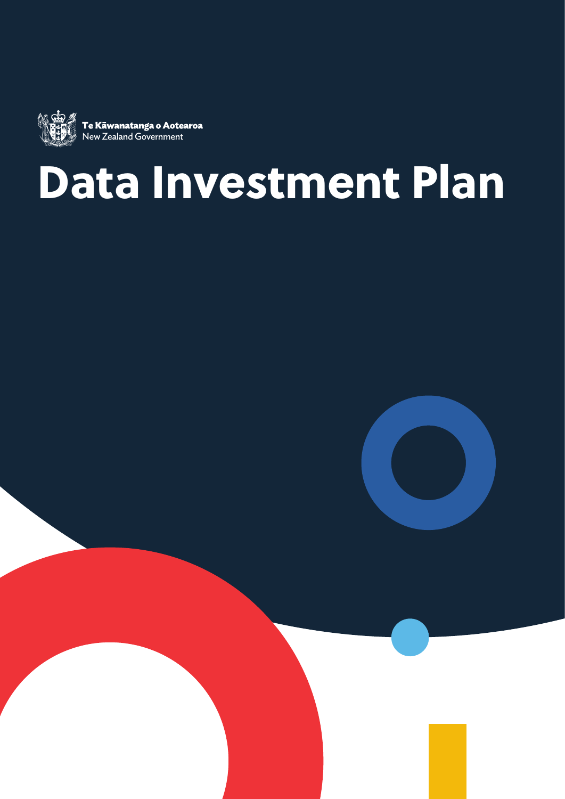

# Data Investment Plan

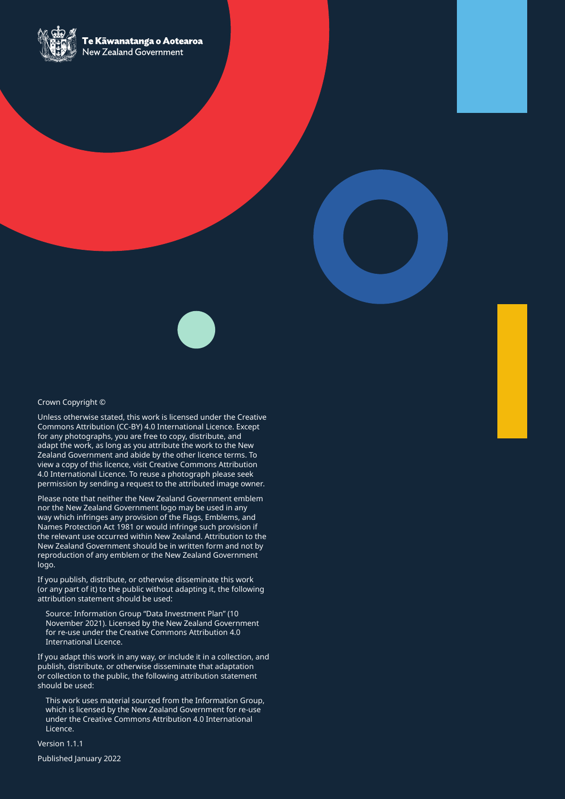'e Kāwanatanga o Aotearoa lew Zealand Government

#### Crown Copyright ©

Unless otherwise stated, this work is licensed under the Creative Commons Attribution (CC-BY) 4.0 International Licence. Except for any photographs, you are free to copy, distribute, and adapt the work, as long as you attribute the work to the New Zealand Government and abide by the other licence terms. To view a copy of this licence, visit Creative Commons Attribution 4.0 International Licence. To reuse a photograph please seek permission by sending a request to the attributed image owner.

Please note that neither the New Zealand Government emblem nor the New Zealand Government logo may be used in any way which infringes any provision of the Flags, Emblems, and Names Protection Act 1981 or would infringe such provision if the relevant use occurred within New Zealand. Attribution to the New Zealand Government should be in written form and not by reproduction of any emblem or the New Zealand Government logo.

If you publish, distribute, or otherwise disseminate this work (or any part of it) to the public without adapting it, the following attribution statement should be used:

Source: Information Group "Data Investment Plan" (10 November 2021). Licensed by the New Zealand Government for re-use under the Creative Commons Attribution 4.0 International Licence.

If you adapt this work in any way, or include it in a collection, and publish, distribute, or otherwise disseminate that adaptation or collection to the public, the following attribution statement should be used:

This work uses material sourced from the Information Group, which is licensed by the New Zealand Government for re-use under the Creative Commons Attribution 4.0 International Licence.

Version 1.1.1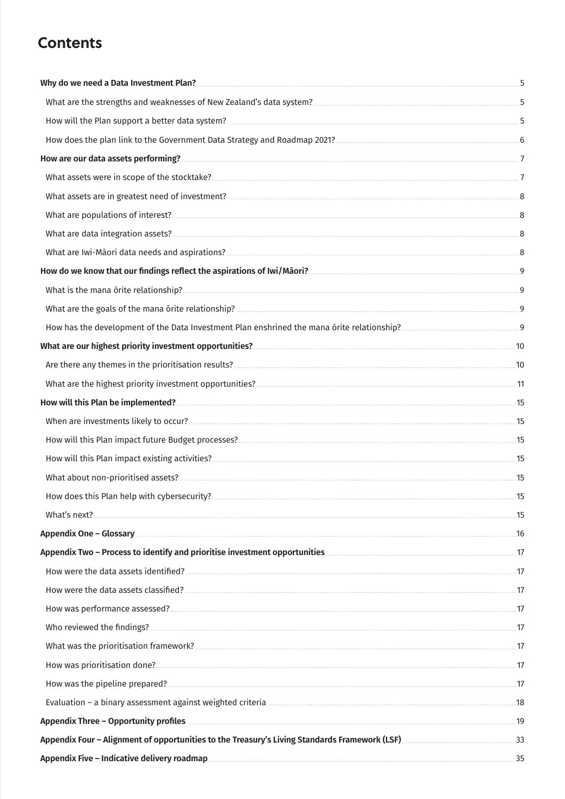# **Contents**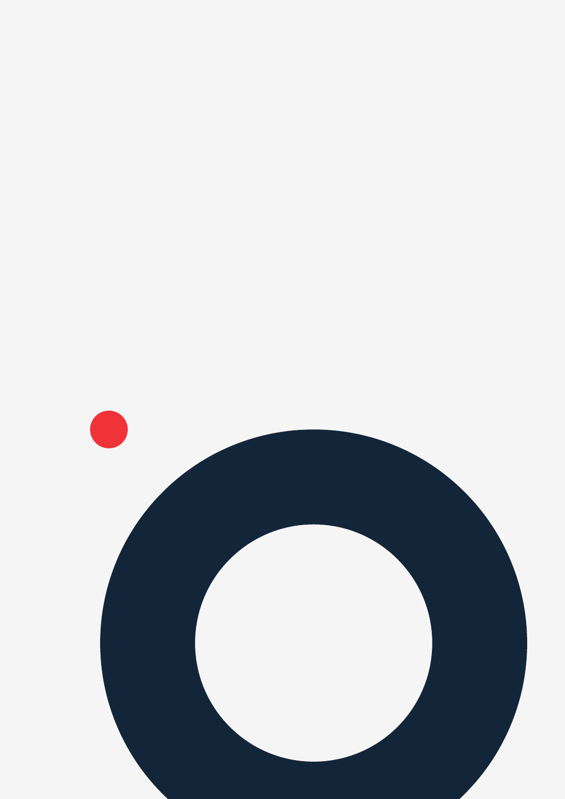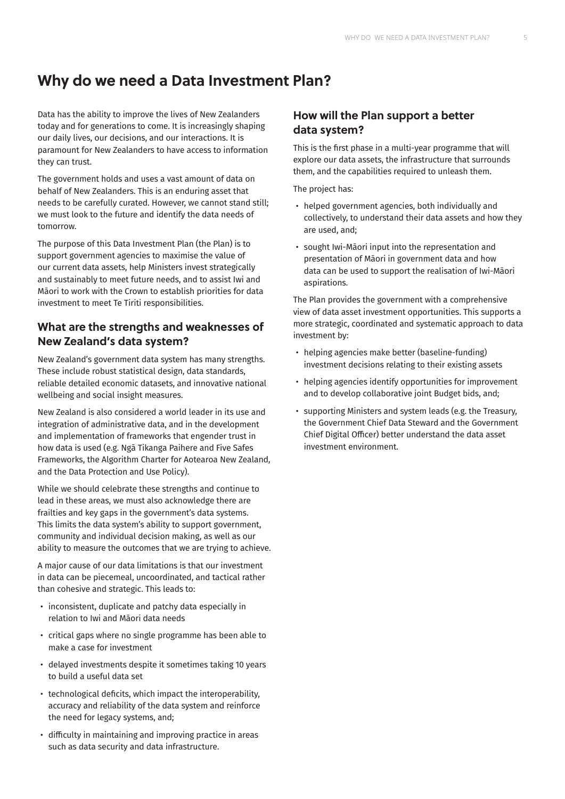## **Why do we need a Data Investment Plan?**

Data has the ability to improve the lives of New Zealanders today and for generations to come. It is increasingly shaping our daily lives, our decisions, and our interactions. It is paramount for New Zealanders to have access to information they can trust.

The government holds and uses a vast amount of data on behalf of New Zealanders. This is an enduring asset that needs to be carefully curated. However, we cannot stand still; we must look to the future and identify the data needs of tomorrow.

The purpose of this Data Investment Plan (the Plan) is to support government agencies to maximise the value of our current data assets, help Ministers invest strategically and sustainably to meet future needs, and to assist Iwi and Māori to work with the Crown to establish priorities for data investment to meet Te Tiriti responsibilities.

## **What are the strengths and weaknesses of New Zealand's data system?**

New Zealand's government data system has many strengths. These include robust statistical design, data standards, reliable detailed economic datasets, and innovative national wellbeing and social insight measures.

New Zealand is also considered a world leader in its use and integration of administrative data, and in the development and implementation of frameworks that engender trust in how data is used (e.g. Ngā Tikanga Paihere and Five Safes Frameworks, the Algorithm Charter for Aotearoa New Zealand, and the Data Protection and Use Policy).

While we should celebrate these strengths and continue to lead in these areas, we must also acknowledge there are frailties and key gaps in the government's data systems. This limits the data system's ability to support government, community and individual decision making, as well as our ability to measure the outcomes that we are trying to achieve.

A major cause of our data limitations is that our investment in data can be piecemeal, uncoordinated, and tactical rather than cohesive and strategic. This leads to:

- inconsistent, duplicate and patchy data especially in relation to Iwi and Māori data needs
- critical gaps where no single programme has been able to make a case for investment
- delayed investments despite it sometimes taking 10 years to build a useful data set
- technological deficits, which impact the interoperability, accuracy and reliability of the data system and reinforce the need for legacy systems, and;
- difficulty in maintaining and improving practice in areas such as data security and data infrastructure.

## **How will the Plan support a better data system?**

This is the first phase in a multi-year programme that will explore our data assets, the infrastructure that surrounds them, and the capabilities required to unleash them.

The project has:

- helped government agencies, both individually and collectively, to understand their data assets and how they are used, and;
- sought Iwi-Māori input into the representation and presentation of Māori in government data and how data can be used to support the realisation of Iwi-Māori aspirations.

The Plan provides the government with a comprehensive view of data asset investment opportunities. This supports a more strategic, coordinated and systematic approach to data investment by:

- helping agencies make better (baseline-funding) investment decisions relating to their existing assets
- helping agencies identify opportunities for improvement and to develop collaborative joint Budget bids, and;
- supporting Ministers and system leads (e.g. the Treasury, the Government Chief Data Steward and the Government Chief Digital Officer) better understand the data asset investment environment.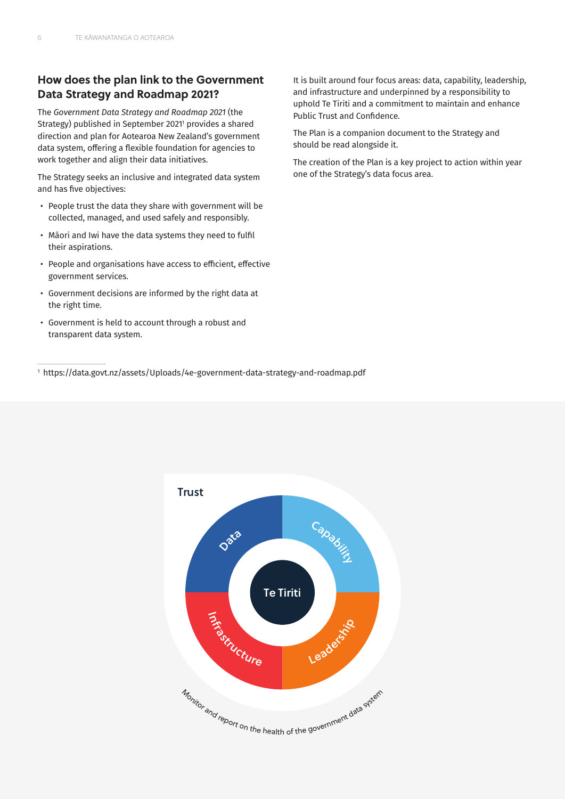## **How does the plan link to the Government Data Strategy and Roadmap 2021?**

The *Government Data Strategy and Roadmap 2021* (the Strategy) published in September 20211 provides a shared direction and plan for Aotearoa New Zealand's government data system, offering a flexible foundation for agencies to work together and align their data initiatives.

The Strategy seeks an inclusive and integrated data system and has five objectives:

- People trust the data they share with government will be collected, managed, and used safely and responsibly.
- Māori and Iwi have the data systems they need to fulfil their aspirations.
- People and organisations have access to efficient, effective government services.
- Government decisions are informed by the right data at the right time.
- Government is held to account through a robust and transparent data system.

It is built around four focus areas: data, capability, leadership, and infrastructure and underpinned by a responsibility to uphold Te Tiriti and a commitment to maintain and enhance Public Trust and Confidence.

The Plan is a companion document to the Strategy and should be read alongside it.

The creation of the Plan is a key project to action within year one of the Strategy's data focus area.

1 https://data.govt.nz/assets/Uploads/4e-government-data-strategy-and-roadmap.pdf

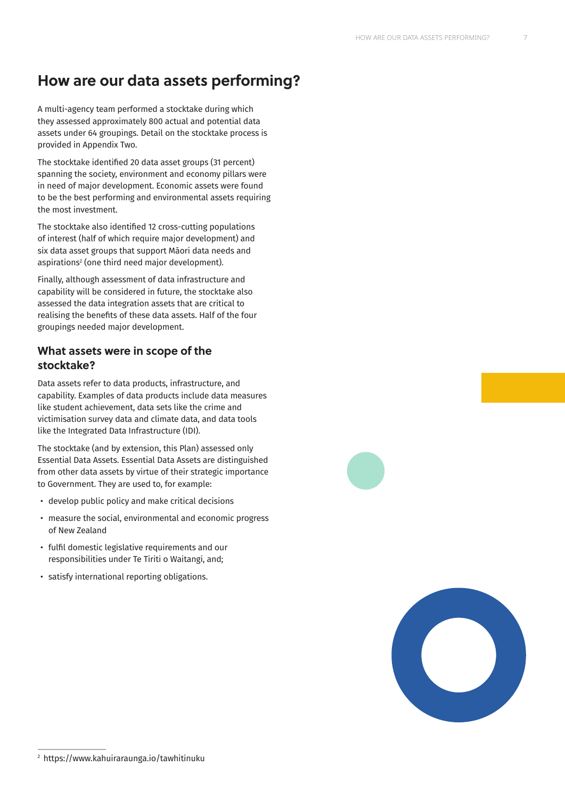# **How are our data assets performing?**

A multi-agency team performed a stocktake during which they assessed approximately 800 actual and potential data assets under 64 groupings. Detail on the stocktake process is provided in Appendix Two.

The stocktake identified 20 data asset groups (31 percent) spanning the society, environment and economy pillars were in need of major development. Economic assets were found to be the best performing and environmental assets requiring the most investment.

The stocktake also identified 12 cross-cutting populations of interest (half of which require major development) and six data asset groups that support Māori data needs and aspirations2 (one third need major development).

Finally, although assessment of data infrastructure and capability will be considered in future, the stocktake also assessed the data integration assets that are critical to realising the benefits of these data assets. Half of the four groupings needed major development.

## **What assets were in scope of the stocktake?**

Data assets refer to data products, infrastructure, and capability. Examples of data products include data measures like student achievement, data sets like the crime and victimisation survey data and climate data, and data tools like the Integrated Data Infrastructure (IDI).

The stocktake (and by extension, this Plan) assessed only Essential Data Assets. Essential Data Assets are distinguished from other data assets by virtue of their strategic importance to Government. They are used to, for example:

- develop public policy and make critical decisions
- measure the social, environmental and economic progress of New Zealand
- fulfil domestic legislative requirements and our responsibilities under Te Tiriti o Waitangi, and;
- satisfy international reporting obligations.



<sup>2</sup> https://www.kahuiraraunga.io/tawhitinuku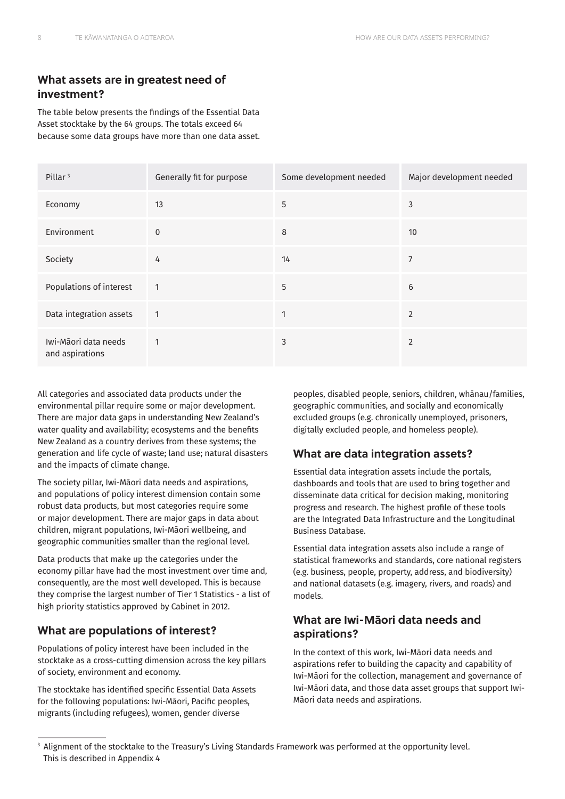## **What assets are in greatest need of investment?**

The table below presents the findings of the Essential Data Asset stocktake by the 64 groups. The totals exceed 64 because some data groups have more than one data asset.

| Pillar <sup>3</sup>                     | Generally fit for purpose | Some development needed | Major development needed |
|-----------------------------------------|---------------------------|-------------------------|--------------------------|
| Economy                                 | 13                        | 5                       | 3                        |
| Environment                             | 0                         | 8                       | 10                       |
| Society                                 | 4                         | 14                      | $\overline{7}$           |
| Populations of interest                 | $\overline{1}$            | 5                       | 6                        |
| Data integration assets                 | $\sqrt{1}$                | 1                       | $\overline{2}$           |
| Iwi-Māori data needs<br>and aspirations | 1                         | 3                       | 2                        |

All categories and associated data products under the environmental pillar require some or major development. There are major data gaps in understanding New Zealand's water quality and availability; ecosystems and the benefits New Zealand as a country derives from these systems; the generation and life cycle of waste; land use; natural disasters and the impacts of climate change.

The society pillar, Iwi-Māori data needs and aspirations, and populations of policy interest dimension contain some robust data products, but most categories require some or major development. There are major gaps in data about children, migrant populations, Iwi-Māori wellbeing, and geographic communities smaller than the regional level.

Data products that make up the categories under the economy pillar have had the most investment over time and, consequently, are the most well developed. This is because they comprise the largest number of Tier 1 Statistics - a list of high priority statistics approved by Cabinet in 2012.

## **What are populations of interest?**

Populations of policy interest have been included in the stocktake as a cross-cutting dimension across the key pillars of society, environment and economy.

The stocktake has identified specific Essential Data Assets for the following populations: Iwi-Māori, Pacific peoples, migrants (including refugees), women, gender diverse

peoples, disabled people, seniors, children, whānau/families, geographic communities, and socially and economically excluded groups (e.g. chronically unemployed, prisoners, digitally excluded people, and homeless people).

## **What are data integration assets?**

Essential data integration assets include the portals, dashboards and tools that are used to bring together and disseminate data critical for decision making, monitoring progress and research. The highest profile of these tools are the Integrated Data Infrastructure and the Longitudinal Business Database.

Essential data integration assets also include a range of statistical frameworks and standards, core national registers (e.g. business, people, property, address, and biodiversity) and national datasets (e.g. imagery, rivers, and roads) and models.

## **What are Iwi-Māori data needs and aspirations?**

In the context of this work, Iwi-Māori data needs and aspirations refer to building the capacity and capability of Iwi-Māori for the collection, management and governance of Iwi-Māori data, and those data asset groups that support Iwi-Māori data needs and aspirations.

<sup>&</sup>lt;sup>3</sup> Alignment of the stocktake to the Treasury's Living Standards Framework was performed at the opportunity level. This is described in Appendix 4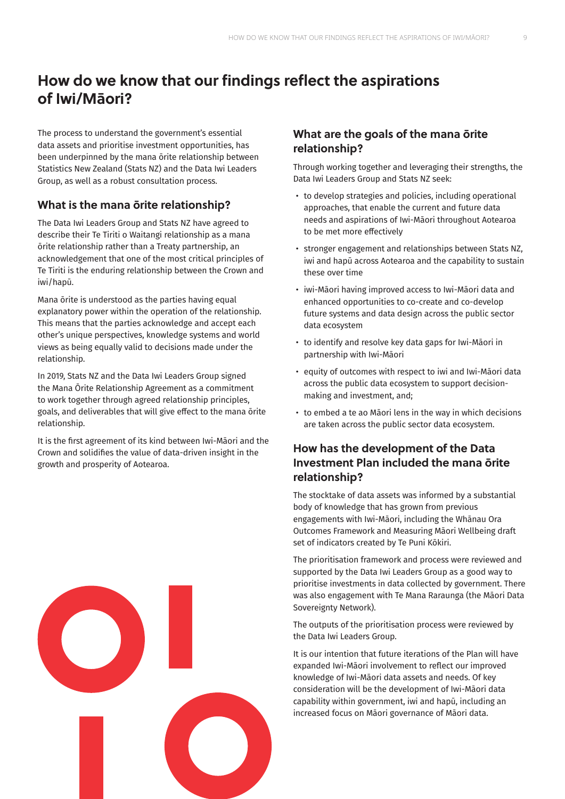The process to understand the government's essential data assets and prioritise investment opportunities, has been underpinned by the mana ōrite relationship between Statistics New Zealand (Stats NZ) and the Data Iwi Leaders Group, as well as a robust consultation process.

## **What is the mana ōrite relationship?**

The Data Iwi Leaders Group and Stats NZ have agreed to describe their Te Tiriti o Waitangi relationship as a mana ōrite relationship rather than a Treaty partnership, an acknowledgement that one of the most critical principles of Te Tiriti is the enduring relationship between the Crown and iwi/hapū.

Mana ōrite is understood as the parties having equal explanatory power within the operation of the relationship. This means that the parties acknowledge and accept each other's unique perspectives, knowledge systems and world views as being equally valid to decisions made under the relationship.

In 2019, Stats NZ and the Data Iwi Leaders Group signed the Mana Ōrite Relationship Agreement as a commitment to work together through agreed relationship principles, goals, and deliverables that will give effect to the mana ōrite relationship.

It is the first agreement of its kind between Iwi-Māori and the Crown and solidifies the value of data-driven insight in the growth and prosperity of Aotearoa.



## **What are the goals of the mana ōrite relationship?**

Through working together and leveraging their strengths, the Data Iwi Leaders Group and Stats NZ seek:

- to develop strategies and policies, including operational approaches, that enable the current and future data needs and aspirations of Iwi-Māori throughout Aotearoa to be met more effectively
- stronger engagement and relationships between Stats NZ, iwi and hapū across Aotearoa and the capability to sustain these over time
- iwi-Māori having improved access to Iwi-Māori data and enhanced opportunities to co-create and co-develop future systems and data design across the public sector data ecosystem
- to identify and resolve key data gaps for Iwi-Māori in partnership with Iwi-Māori
- equity of outcomes with respect to iwi and Iwi-Māori data across the public data ecosystem to support decisionmaking and investment, and;
- to embed a te ao Māori lens in the way in which decisions are taken across the public sector data ecosystem.

## **How has the development of the Data Investment Plan included the mana ōrite relationship?**

The stocktake of data assets was informed by a substantial body of knowledge that has grown from previous engagements with Iwi-Māori, including the Whānau Ora Outcomes Framework and Measuring Māori Wellbeing draft set of indicators created by Te Puni Kōkiri.

The prioritisation framework and process were reviewed and supported by the Data Iwi Leaders Group as a good way to prioritise investments in data collected by government. There was also engagement with Te Mana Raraunga (the Māori Data Sovereignty Network).

The outputs of the prioritisation process were reviewed by the Data Iwi Leaders Group.

It is our intention that future iterations of the Plan will have expanded Iwi-Māori involvement to reflect our improved knowledge of Iwi-Māori data assets and needs. Of key consideration will be the development of Iwi-Māori data capability within government, iwi and hapū, including an increased focus on Māori governance of Māori data.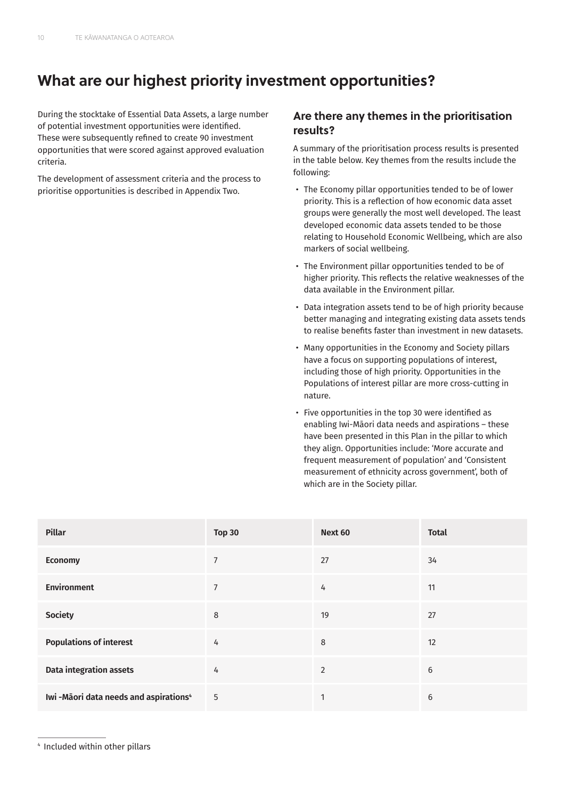# **What are our highest priority investment opportunities?**

During the stocktake of Essential Data Assets, a large number of potential investment opportunities were identified. These were subsequently refined to create 90 investment opportunities that were scored against approved evaluation criteria.

The development of assessment criteria and the process to prioritise opportunities is described in Appendix Two.

## **Are there any themes in the prioritisation results?**

A summary of the prioritisation process results is presented in the table below. Key themes from the results include the following:

- The Economy pillar opportunities tended to be of lower priority. This is a reflection of how economic data asset groups were generally the most well developed. The least developed economic data assets tended to be those relating to Household Economic Wellbeing, which are also markers of social wellbeing.
- The Environment pillar opportunities tended to be of higher priority. This reflects the relative weaknesses of the data available in the Environment pillar.
- Data integration assets tend to be of high priority because better managing and integrating existing data assets tends to realise benefits faster than investment in new datasets.
- Many opportunities in the Economy and Society pillars have a focus on supporting populations of interest, including those of high priority. Opportunities in the Populations of interest pillar are more cross-cutting in nature.
- Five opportunities in the top 30 were identified as enabling Iwi-Māori data needs and aspirations – these have been presented in this Plan in the pillar to which they align. Opportunities include: 'More accurate and frequent measurement of population' and 'Consistent measurement of ethnicity across government', both of which are in the Society pillar.

| <b>Pillar</b>                                      | <b>Top 30</b>  | Next 60        | <b>Total</b> |
|----------------------------------------------------|----------------|----------------|--------------|
| <b>Economy</b>                                     | $\overline{7}$ | 27             | 34           |
| <b>Environment</b>                                 | 7              | 4              | 11           |
| <b>Society</b>                                     | 8              | 19             | 27           |
| <b>Populations of interest</b>                     | 4              | 8              | 12           |
| <b>Data integration assets</b>                     | 4              | $\overline{2}$ | 6            |
| Iwi -Māori data needs and aspirations <sup>4</sup> | 5              | ◀              | 6            |

<sup>4</sup> Included within other pillars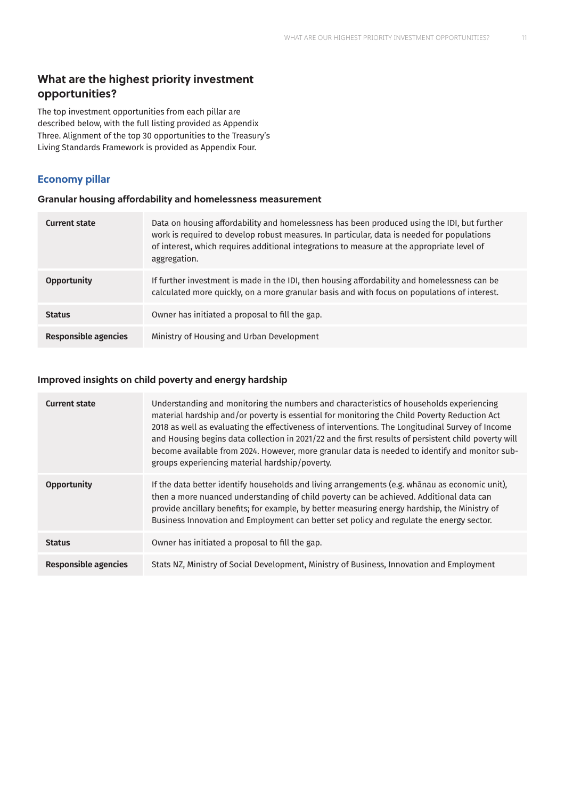## **What are the highest priority investment opportunities?**

The top investment opportunities from each pillar are described below, with the full listing provided as Appendix Three. Alignment of the top 30 opportunities to the Treasury's Living Standards Framework is provided as Appendix Four.

## **Economy pillar**

#### **Granular housing affordability and homelessness measurement**

| <b>Current state</b>        | Data on housing affordability and homelessness has been produced using the IDI, but further<br>work is required to develop robust measures. In particular, data is needed for populations<br>of interest, which requires additional integrations to measure at the appropriate level of<br>aggregation. |
|-----------------------------|---------------------------------------------------------------------------------------------------------------------------------------------------------------------------------------------------------------------------------------------------------------------------------------------------------|
| <b>Opportunity</b>          | If further investment is made in the IDI, then housing affordability and homelessness can be<br>calculated more quickly, on a more granular basis and with focus on populations of interest.                                                                                                            |
| <b>Status</b>               | Owner has initiated a proposal to fill the gap.                                                                                                                                                                                                                                                         |
| <b>Responsible agencies</b> | Ministry of Housing and Urban Development                                                                                                                                                                                                                                                               |

#### **Improved insights on child poverty and energy hardship**

| <b>Current state</b> | Understanding and monitoring the numbers and characteristics of households experiencing<br>material hardship and/or poverty is essential for monitoring the Child Poverty Reduction Act<br>2018 as well as evaluating the effectiveness of interventions. The Longitudinal Survey of Income<br>and Housing begins data collection in 2021/22 and the first results of persistent child poverty will<br>become available from 2024. However, more granular data is needed to identify and monitor sub-<br>groups experiencing material hardship/poverty. |
|----------------------|---------------------------------------------------------------------------------------------------------------------------------------------------------------------------------------------------------------------------------------------------------------------------------------------------------------------------------------------------------------------------------------------------------------------------------------------------------------------------------------------------------------------------------------------------------|
| <b>Opportunity</b>   | If the data better identify households and living arrangements (e.g. whanau as economic unit),<br>then a more nuanced understanding of child poverty can be achieved. Additional data can<br>provide ancillary benefits; for example, by better measuring energy hardship, the Ministry of<br>Business Innovation and Employment can better set policy and regulate the energy sector.                                                                                                                                                                  |
| <b>Status</b>        | Owner has initiated a proposal to fill the gap.                                                                                                                                                                                                                                                                                                                                                                                                                                                                                                         |
| Responsible agencies | Stats NZ, Ministry of Social Development, Ministry of Business, Innovation and Employment                                                                                                                                                                                                                                                                                                                                                                                                                                                               |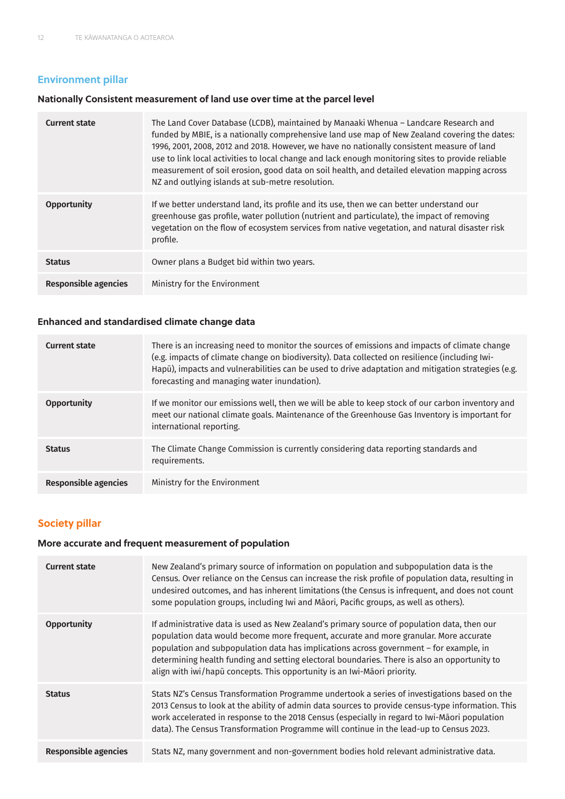## **Environment pillar**

#### **Nationally Consistent measurement of land use over time at the parcel level**

| <b>Current state</b> | The Land Cover Database (LCDB), maintained by Manaaki Whenua - Landcare Research and<br>funded by MBIE, is a nationally comprehensive land use map of New Zealand covering the dates:<br>1996, 2001, 2008, 2012 and 2018. However, we have no nationally consistent measure of land<br>use to link local activities to local change and lack enough monitoring sites to provide reliable<br>measurement of soil erosion, good data on soil health, and detailed elevation mapping across<br>NZ and outlying islands at sub-metre resolution. |
|----------------------|----------------------------------------------------------------------------------------------------------------------------------------------------------------------------------------------------------------------------------------------------------------------------------------------------------------------------------------------------------------------------------------------------------------------------------------------------------------------------------------------------------------------------------------------|
| <b>Opportunity</b>   | If we better understand land, its profile and its use, then we can better understand our<br>greenhouse gas profile, water pollution (nutrient and particulate), the impact of removing<br>vegetation on the flow of ecosystem services from native vegetation, and natural disaster risk<br>profile.                                                                                                                                                                                                                                         |
| <b>Status</b>        | Owner plans a Budget bid within two years.                                                                                                                                                                                                                                                                                                                                                                                                                                                                                                   |
| Responsible agencies | Ministry for the Environment                                                                                                                                                                                                                                                                                                                                                                                                                                                                                                                 |

## **Enhanced and standardised climate change data**

| <b>Current state</b> | There is an increasing need to monitor the sources of emissions and impacts of climate change<br>(e.g. impacts of climate change on biodiversity). Data collected on resilience (including Iwi-<br>Hapū), impacts and vulnerabilities can be used to drive adaptation and mitigation strategies (e.g.<br>forecasting and managing water inundation). |
|----------------------|------------------------------------------------------------------------------------------------------------------------------------------------------------------------------------------------------------------------------------------------------------------------------------------------------------------------------------------------------|
| Opportunity          | If we monitor our emissions well, then we will be able to keep stock of our carbon inventory and<br>meet our national climate goals. Maintenance of the Greenhouse Gas Inventory is important for<br>international reporting.                                                                                                                        |
| <b>Status</b>        | The Climate Change Commission is currently considering data reporting standards and<br>requirements.                                                                                                                                                                                                                                                 |
| Responsible agencies | Ministry for the Environment                                                                                                                                                                                                                                                                                                                         |

## **Society pillar**

#### **More accurate and frequent measurement of population**

| <b>Current state</b> | New Zealand's primary source of information on population and subpopulation data is the<br>Census. Over reliance on the Census can increase the risk profile of population data, resulting in<br>undesired outcomes, and has inherent limitations (the Census is infrequent, and does not count<br>some population groups, including Iwi and Māori, Pacific groups, as well as others).                                                                    |
|----------------------|------------------------------------------------------------------------------------------------------------------------------------------------------------------------------------------------------------------------------------------------------------------------------------------------------------------------------------------------------------------------------------------------------------------------------------------------------------|
| <b>Opportunity</b>   | If administrative data is used as New Zealand's primary source of population data, then our<br>population data would become more frequent, accurate and more granular. More accurate<br>population and subpopulation data has implications across government – for example, in<br>determining health funding and setting electoral boundaries. There is also an opportunity to<br>align with iwi/hapū concepts. This opportunity is an Iwi-Māori priority. |
| <b>Status</b>        | Stats NZ's Census Transformation Programme undertook a series of investigations based on the<br>2013 Census to look at the ability of admin data sources to provide census-type information. This<br>work accelerated in response to the 2018 Census (especially in regard to Iwi-Māori population<br>data). The Census Transformation Programme will continue in the lead-up to Census 2023.                                                              |
| Responsible agencies | Stats NZ, many government and non-government bodies hold relevant administrative data.                                                                                                                                                                                                                                                                                                                                                                     |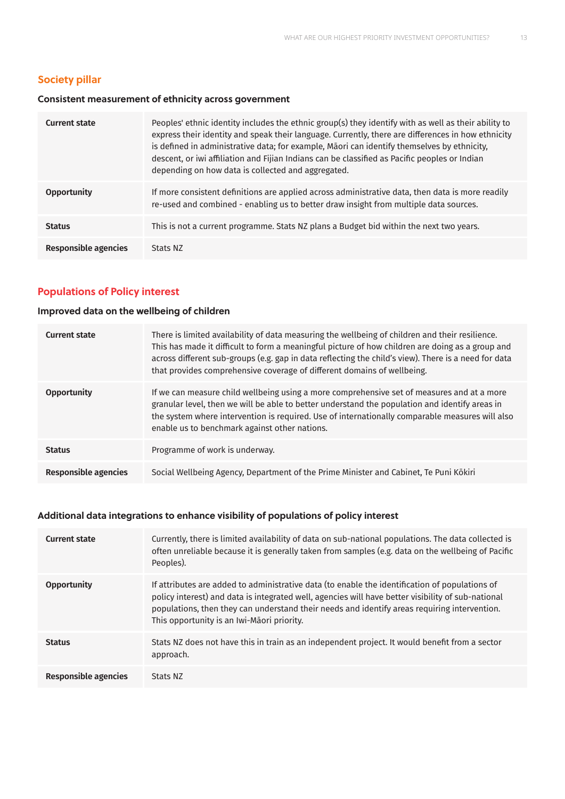## **Society pillar**

#### **Consistent measurement of ethnicity across government**

| <b>Current state</b> | Peoples' ethnic identity includes the ethnic group(s) they identify with as well as their ability to<br>express their identity and speak their language. Currently, there are differences in how ethnicity<br>is defined in administrative data; for example, Māori can identify themselves by ethnicity,<br>descent, or iwi affiliation and Fijian Indians can be classified as Pacific peoples or Indian<br>depending on how data is collected and aggregated. |
|----------------------|------------------------------------------------------------------------------------------------------------------------------------------------------------------------------------------------------------------------------------------------------------------------------------------------------------------------------------------------------------------------------------------------------------------------------------------------------------------|
| <b>Opportunity</b>   | If more consistent definitions are applied across administrative data, then data is more readily<br>re-used and combined - enabling us to better draw insight from multiple data sources.                                                                                                                                                                                                                                                                        |
| <b>Status</b>        | This is not a current programme. Stats NZ plans a Budget bid within the next two years.                                                                                                                                                                                                                                                                                                                                                                          |
| Responsible agencies | Stats N <sub>7</sub>                                                                                                                                                                                                                                                                                                                                                                                                                                             |

## **Populations of Policy interest**

## **Improved data on the wellbeing of children**

| <b>Current state</b> | There is limited availability of data measuring the wellbeing of children and their resilience.<br>This has made it difficult to form a meaningful picture of how children are doing as a group and<br>across different sub-groups (e.g. gap in data reflecting the child's view). There is a need for data<br>that provides comprehensive coverage of different domains of wellbeing. |
|----------------------|----------------------------------------------------------------------------------------------------------------------------------------------------------------------------------------------------------------------------------------------------------------------------------------------------------------------------------------------------------------------------------------|
| <b>Opportunity</b>   | If we can measure child wellbeing using a more comprehensive set of measures and at a more<br>granular level, then we will be able to better understand the population and identify areas in<br>the system where intervention is required. Use of internationally comparable measures will also<br>enable us to benchmark against other nations.                                       |
| <b>Status</b>        | Programme of work is underway.                                                                                                                                                                                                                                                                                                                                                         |
| Responsible agencies | Social Wellbeing Agency, Department of the Prime Minister and Cabinet, Te Puni Kōkiri                                                                                                                                                                                                                                                                                                  |

#### **Additional data integrations to enhance visibility of populations of policy interest**

| <b>Current state</b> | Currently, there is limited availability of data on sub-national populations. The data collected is<br>often unreliable because it is generally taken from samples (e.g. data on the wellbeing of Pacific<br>Peoples).                                                                                                                             |
|----------------------|----------------------------------------------------------------------------------------------------------------------------------------------------------------------------------------------------------------------------------------------------------------------------------------------------------------------------------------------------|
| <b>Opportunity</b>   | If attributes are added to administrative data (to enable the identification of populations of<br>policy interest) and data is integrated well, agencies will have better visibility of sub-national<br>populations, then they can understand their needs and identify areas requiring intervention.<br>This opportunity is an Iwi-Māori priority. |
| <b>Status</b>        | Stats NZ does not have this in train as an independent project. It would benefit from a sector<br>approach.                                                                                                                                                                                                                                        |
| Responsible agencies | Stats N7                                                                                                                                                                                                                                                                                                                                           |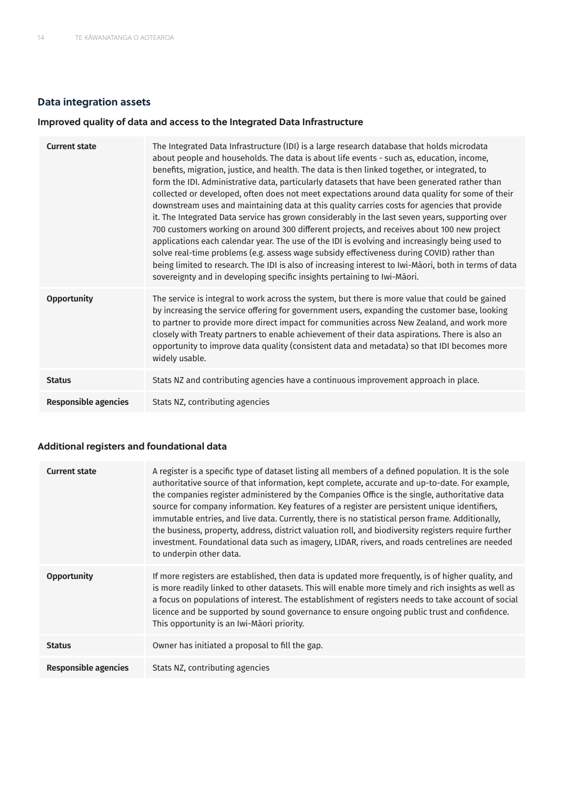## **Data integration assets**

## **Improved quality of data and access to the Integrated Data Infrastructure**

| <b>Current state</b>        | The Integrated Data Infrastructure (IDI) is a large research database that holds microdata<br>about people and households. The data is about life events - such as, education, income,<br>benefits, migration, justice, and health. The data is then linked together, or integrated, to<br>form the IDI. Administrative data, particularly datasets that have been generated rather than<br>collected or developed, often does not meet expectations around data quality for some of their<br>downstream uses and maintaining data at this quality carries costs for agencies that provide<br>it. The Integrated Data service has grown considerably in the last seven years, supporting over<br>700 customers working on around 300 different projects, and receives about 100 new project<br>applications each calendar year. The use of the IDI is evolving and increasingly being used to<br>solve real-time problems (e.g. assess wage subsidy effectiveness during COVID) rather than<br>being limited to research. The IDI is also of increasing interest to Iwi-Māori, both in terms of data<br>sovereignty and in developing specific insights pertaining to Iwi-Māori. |
|-----------------------------|----------------------------------------------------------------------------------------------------------------------------------------------------------------------------------------------------------------------------------------------------------------------------------------------------------------------------------------------------------------------------------------------------------------------------------------------------------------------------------------------------------------------------------------------------------------------------------------------------------------------------------------------------------------------------------------------------------------------------------------------------------------------------------------------------------------------------------------------------------------------------------------------------------------------------------------------------------------------------------------------------------------------------------------------------------------------------------------------------------------------------------------------------------------------------------|
| Opportunity                 | The service is integral to work across the system, but there is more value that could be gained<br>by increasing the service offering for government users, expanding the customer base, looking<br>to partner to provide more direct impact for communities across New Zealand, and work more<br>closely with Treaty partners to enable achievement of their data aspirations. There is also an<br>opportunity to improve data quality (consistent data and metadata) so that IDI becomes more<br>widely usable.                                                                                                                                                                                                                                                                                                                                                                                                                                                                                                                                                                                                                                                                |
| <b>Status</b>               | Stats NZ and contributing agencies have a continuous improvement approach in place.                                                                                                                                                                                                                                                                                                                                                                                                                                                                                                                                                                                                                                                                                                                                                                                                                                                                                                                                                                                                                                                                                              |
| <b>Responsible agencies</b> | Stats NZ, contributing agencies                                                                                                                                                                                                                                                                                                                                                                                                                                                                                                                                                                                                                                                                                                                                                                                                                                                                                                                                                                                                                                                                                                                                                  |

## **Additional registers and foundational data**

| <b>Current state</b> | A register is a specific type of dataset listing all members of a defined population. It is the sole<br>authoritative source of that information, kept complete, accurate and up-to-date. For example,<br>the companies register administered by the Companies Office is the single, authoritative data<br>source for company information. Key features of a register are persistent unique identifiers,<br>immutable entries, and live data. Currently, there is no statistical person frame. Additionally,<br>the business, property, address, district valuation roll, and biodiversity registers require further<br>investment. Foundational data such as imagery, LIDAR, rivers, and roads centrelines are needed<br>to underpin other data. |
|----------------------|---------------------------------------------------------------------------------------------------------------------------------------------------------------------------------------------------------------------------------------------------------------------------------------------------------------------------------------------------------------------------------------------------------------------------------------------------------------------------------------------------------------------------------------------------------------------------------------------------------------------------------------------------------------------------------------------------------------------------------------------------|
| <b>Opportunity</b>   | If more registers are established, then data is updated more frequently, is of higher quality, and<br>is more readily linked to other datasets. This will enable more timely and rich insights as well as<br>a focus on populations of interest. The establishment of registers needs to take account of social<br>licence and be supported by sound governance to ensure ongoing public trust and confidence.<br>This opportunity is an Iwi-Māori priority.                                                                                                                                                                                                                                                                                      |
| <b>Status</b>        | Owner has initiated a proposal to fill the gap.                                                                                                                                                                                                                                                                                                                                                                                                                                                                                                                                                                                                                                                                                                   |
| Responsible agencies | Stats NZ, contributing agencies                                                                                                                                                                                                                                                                                                                                                                                                                                                                                                                                                                                                                                                                                                                   |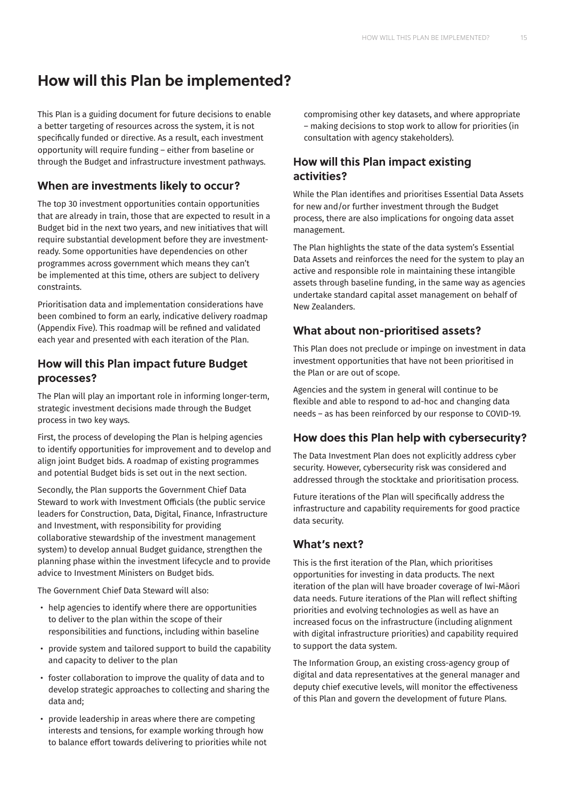# **How will this Plan be implemented?**

This Plan is a guiding document for future decisions to enable a better targeting of resources across the system, it is not specifically funded or directive. As a result, each investment opportunity will require funding – either from baseline or through the Budget and infrastructure investment pathways.

## **When are investments likely to occur?**

The top 30 investment opportunities contain opportunities that are already in train, those that are expected to result in a Budget bid in the next two years, and new initiatives that will require substantial development before they are investmentready. Some opportunities have dependencies on other programmes across government which means they can't be implemented at this time, others are subject to delivery constraints.

Prioritisation data and implementation considerations have been combined to form an early, indicative delivery roadmap (Appendix Five). This roadmap will be refined and validated each year and presented with each iteration of the Plan.

## **How will this Plan impact future Budget processes?**

The Plan will play an important role in informing longer-term, strategic investment decisions made through the Budget process in two key ways.

First, the process of developing the Plan is helping agencies to identify opportunities for improvement and to develop and align joint Budget bids. A roadmap of existing programmes and potential Budget bids is set out in the next section.

Secondly, the Plan supports the Government Chief Data Steward to work with Investment Officials (the public service leaders for Construction, Data, Digital, Finance, Infrastructure and Investment, with responsibility for providing collaborative stewardship of the investment management system) to develop annual Budget guidance, strengthen the planning phase within the investment lifecycle and to provide advice to Investment Ministers on Budget bids.

The Government Chief Data Steward will also:

- help agencies to identify where there are opportunities to deliver to the plan within the scope of their responsibilities and functions, including within baseline
- provide system and tailored support to build the capability and capacity to deliver to the plan
- foster collaboration to improve the quality of data and to develop strategic approaches to collecting and sharing the data and;
- provide leadership in areas where there are competing interests and tensions, for example working through how to balance effort towards delivering to priorities while not

compromising other key datasets, and where appropriate – making decisions to stop work to allow for priorities (in consultation with agency stakeholders).

## **How will this Plan impact existing activities?**

While the Plan identifies and prioritises Essential Data Assets for new and/or further investment through the Budget process, there are also implications for ongoing data asset management.

The Plan highlights the state of the data system's Essential Data Assets and reinforces the need for the system to play an active and responsible role in maintaining these intangible assets through baseline funding, in the same way as agencies undertake standard capital asset management on behalf of New Zealanders.

## **What about non-prioritised assets?**

This Plan does not preclude or impinge on investment in data investment opportunities that have not been prioritised in the Plan or are out of scope.

Agencies and the system in general will continue to be flexible and able to respond to ad-hoc and changing data needs – as has been reinforced by our response to COVID-19.

#### **How does this Plan help with cybersecurity?**

The Data Investment Plan does not explicitly address cyber security. However, cybersecurity risk was considered and addressed through the stocktake and prioritisation process.

Future iterations of the Plan will specifically address the infrastructure and capability requirements for good practice data security.

#### **What's next?**

This is the first iteration of the Plan, which prioritises opportunities for investing in data products. The next iteration of the plan will have broader coverage of Iwi-Māori data needs. Future iterations of the Plan will reflect shifting priorities and evolving technologies as well as have an increased focus on the infrastructure (including alignment with digital infrastructure priorities) and capability required to support the data system.

The Information Group, an existing cross-agency group of digital and data representatives at the general manager and deputy chief executive levels, will monitor the effectiveness of this Plan and govern the development of future Plans.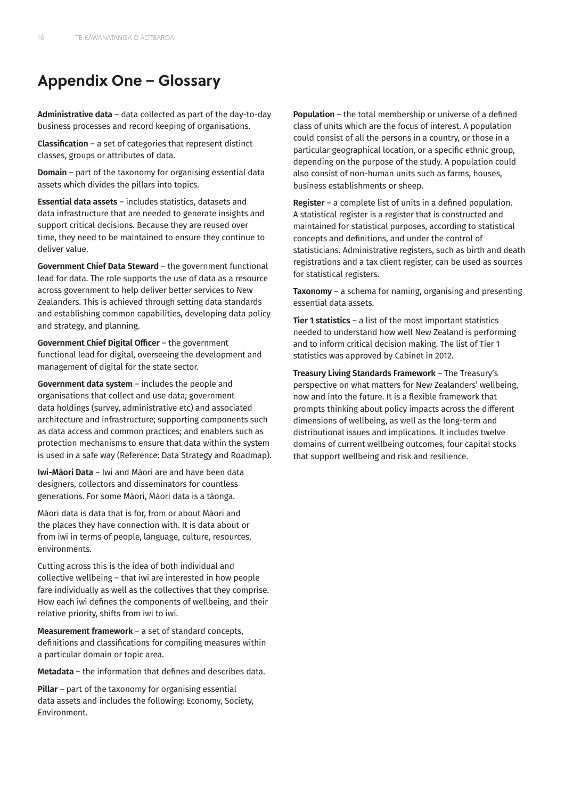# **Appendix One – Glossary**

**Administrative data** – data collected as part of the day-to-day business processes and record keeping of organisations.

**Classification** – a set of categories that represent distinct classes, groups or attributes of data.

**Domain** – part of the taxonomy for organising essential data assets which divides the pillars into topics.

**Essential data assets** – includes statistics, datasets and data infrastructure that are needed to generate insights and support critical decisions. Because they are reused over time, they need to be maintained to ensure they continue to deliver value.

**Government Chief Data Steward** – the government functional lead for data. The role supports the use of data as a resource across government to help deliver better services to New Zealanders. This is achieved through setting data standards and establishing common capabilities, developing data policy and strategy, and planning.

**Government Chief Digital Officer** – the government functional lead for digital, overseeing the development and management of digital for the state sector.

**Government data system** – includes the people and organisations that collect and use data; government data holdings (survey, administrative etc) and associated architecture and infrastructure; supporting components such as data access and common practices; and enablers such as protection mechanisms to ensure that data within the system is used in a safe way (Reference: Data Strategy and Roadmap).

**Iwi-Māori Data** – Iwi and Māori are and have been data designers, collectors and disseminators for countless generations. For some Māori, Māori data is a tāonga.

Māori data is data that is for, from or about Māori and the places they have connection with. It is data about or from iwi in terms of people, language, culture, resources, environments.

Cutting across this is the idea of both individual and collective wellbeing – that iwi are interested in how people fare individually as well as the collectives that they comprise. How each iwi defines the components of wellbeing, and their relative priority, shifts from iwi to iwi.

**Measurement framework** – a set of standard concepts, definitions and classifications for compiling measures within a particular domain or topic area.

**Metadata** – the information that defines and describes data.

**Pillar** – part of the taxonomy for organising essential data assets and includes the following: Economy, Society, Environment.

**Population** – the total membership or universe of a defined class of units which are the focus of interest. A population could consist of all the persons in a country, or those in a particular geographical location, or a specific ethnic group, depending on the purpose of the study. A population could also consist of non-human units such as farms, houses, business establishments or sheep.

**Register** – a complete list of units in a defined population. A statistical register is a register that is constructed and maintained for statistical purposes, according to statistical concepts and definitions, and under the control of statisticians. Administrative registers, such as birth and death registrations and a tax client register, can be used as sources for statistical registers.

**Taxonomy** – a schema for naming, organising and presenting essential data assets.

**Tier 1 statistics** – a list of the most important statistics needed to understand how well New Zealand is performing and to inform critical decision making. The list of Tier 1 statistics was approved by Cabinet in 2012.

**Treasury Living Standards Framework** – The Treasury's perspective on what matters for New Zealanders' wellbeing, now and into the future. It is a flexible framework that prompts thinking about policy impacts across the different dimensions of wellbeing, as well as the long-term and distributional issues and implications. It includes twelve domains of current wellbeing outcomes, four capital stocks that support wellbeing and risk and resilience.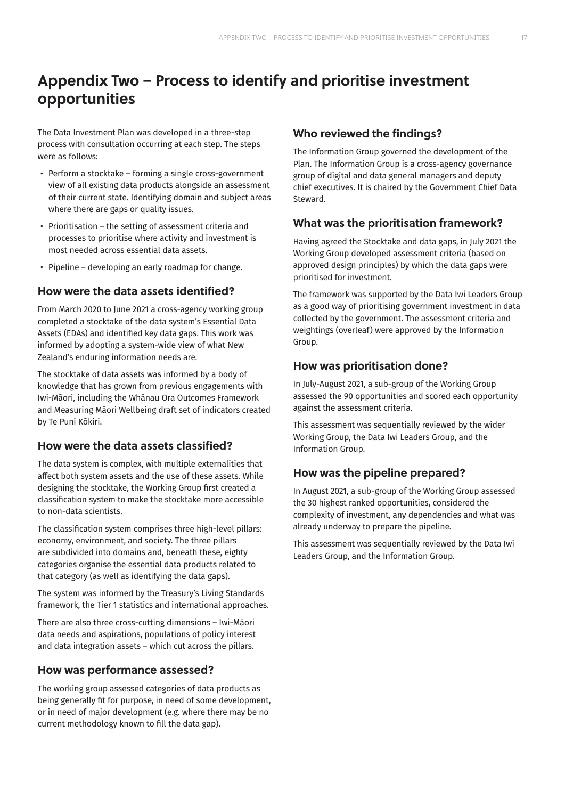# **Appendix Two – Process to identify and prioritise investment opportunities**

The Data Investment Plan was developed in a three-step process with consultation occurring at each step. The steps were as follows:

- Perform a stocktake forming a single cross-government view of all existing data products alongside an assessment of their current state. Identifying domain and subject areas where there are gaps or quality issues.
- Prioritisation the setting of assessment criteria and processes to prioritise where activity and investment is most needed across essential data assets.
- Pipeline developing an early roadmap for change.

## **How were the data assets identified?**

From March 2020 to June 2021 a cross-agency working group completed a stocktake of the data system's Essential Data Assets (EDAs) and identified key data gaps. This work was informed by adopting a system-wide view of what New Zealand's enduring information needs are.

The stocktake of data assets was informed by a body of knowledge that has grown from previous engagements with Iwi-Māori, including the Whānau Ora Outcomes Framework and Measuring Māori Wellbeing draft set of indicators created by Te Puni Kōkiri.

## **How were the data assets classified?**

The data system is complex, with multiple externalities that affect both system assets and the use of these assets. While designing the stocktake, the Working Group first created a classification system to make the stocktake more accessible to non-data scientists.

The classification system comprises three high-level pillars: economy, environment, and society. The three pillars are subdivided into domains and, beneath these, eighty categories organise the essential data products related to that category (as well as identifying the data gaps).

The system was informed by the Treasury's Living Standards framework, the Tier 1 statistics and international approaches.

There are also three cross-cutting dimensions – Iwi-Māori data needs and aspirations, populations of policy interest and data integration assets – which cut across the pillars.

#### **How was performance assessed?**

The working group assessed categories of data products as being generally fit for purpose, in need of some development, or in need of major development (e.g. where there may be no current methodology known to fill the data gap).

## **Who reviewed the findings?**

The Information Group governed the development of the Plan. The Information Group is a cross-agency governance group of digital and data general managers and deputy chief executives. It is chaired by the Government Chief Data Steward.

## **What was the prioritisation framework?**

Having agreed the Stocktake and data gaps, in July 2021 the Working Group developed assessment criteria (based on approved design principles) by which the data gaps were prioritised for investment.

The framework was supported by the Data Iwi Leaders Group as a good way of prioritising government investment in data collected by the government. The assessment criteria and weightings (overleaf) were approved by the Information Group.

## **How was prioritisation done?**

In July-August 2021, a sub-group of the Working Group assessed the 90 opportunities and scored each opportunity against the assessment criteria.

This assessment was sequentially reviewed by the wider Working Group, the Data Iwi Leaders Group, and the Information Group.

## **How was the pipeline prepared?**

In August 2021, a sub-group of the Working Group assessed the 30 highest ranked opportunities, considered the complexity of investment, any dependencies and what was already underway to prepare the pipeline.

This assessment was sequentially reviewed by the Data Iwi Leaders Group, and the Information Group.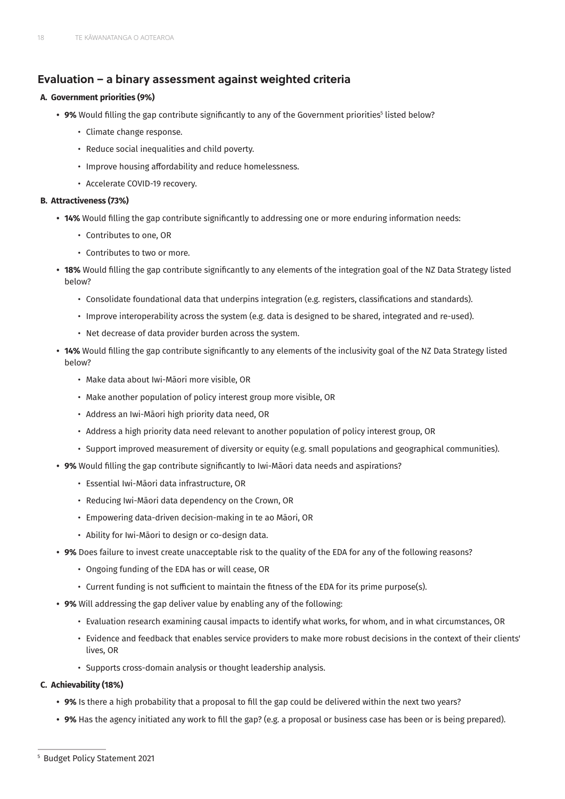## **Evaluation – a binary assessment against weighted criteria**

#### **A. Government priorities (9%)**

- **9%** Would filling the gap contribute significantly to any of the Government priorities<sup>5</sup> listed below?
	- Climate change response.
	- Reduce social inequalities and child poverty.
	- Improve housing affordability and reduce homelessness.
	- Accelerate COVID-19 recovery.

#### **B. Attractiveness (73%)**

- **• 14%** Would filling the gap contribute significantly to addressing one or more enduring information needs:
	- Contributes to one, OR
	- Contributes to two or more.
- **• 18%** Would filling the gap contribute significantly to any elements of the integration goal of the NZ Data Strategy listed below?
	- Consolidate foundational data that underpins integration (e.g. registers, classifications and standards).
	- Improve interoperability across the system (e.g. data is designed to be shared, integrated and re-used).
	- Net decrease of data provider burden across the system.
- **• 14%** Would filling the gap contribute significantly to any elements of the inclusivity goal of the NZ Data Strategy listed below?
	- Make data about Iwi-Māori more visible, OR
	- Make another population of policy interest group more visible, OR
	- Address an Iwi-Māori high priority data need, OR
	- Address a high priority data need relevant to another population of policy interest group, OR
	- Support improved measurement of diversity or equity (e.g. small populations and geographical communities).
- **• 9%** Would filling the gap contribute significantly to Iwi-Māori data needs and aspirations?
	- Essential Iwi-Māori data infrastructure, OR
	- Reducing Iwi-Māori data dependency on the Crown, OR
	- Empowering data-driven decision-making in te ao Māori, OR
	- Ability for Iwi-Māori to design or co-design data.
- **• 9%** Does failure to invest create unacceptable risk to the quality of the EDA for any of the following reasons?
	- Ongoing funding of the EDA has or will cease, OR
	- Current funding is not sufficient to maintain the fitness of the EDA for its prime purpose(s).
- **• 9%** Will addressing the gap deliver value by enabling any of the following:
	- Evaluation research examining causal impacts to identify what works, for whom, and in what circumstances, OR
	- Evidence and feedback that enables service providers to make more robust decisions in the context of their clients' lives, OR
	- Supports cross-domain analysis or thought leadership analysis.
- **C. Achievability (18%)**
	- **• 9%** Is there a high probability that a proposal to fill the gap could be delivered within the next two years?
	- **• 9%** Has the agency initiated any work to fill the gap? (e.g. a proposal or business case has been or is being prepared).

<sup>5</sup> Budget Policy Statement 2021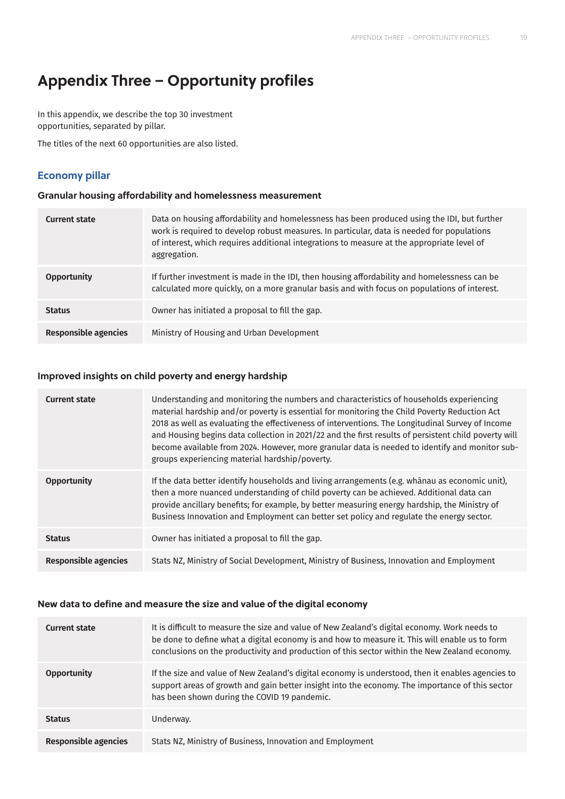# **Appendix Three – Opportunity profiles**

In this appendix, we describe the top 30 investment opportunities, separated by pillar.

The titles of the next 60 opportunities are also listed.

## **Economy pillar**

#### **Granular housing affordability and homelessness measurement**

| <b>Current state</b> | Data on housing affordability and homelessness has been produced using the IDI, but further<br>work is required to develop robust measures. In particular, data is needed for populations<br>of interest, which requires additional integrations to measure at the appropriate level of<br>aggregation. |
|----------------------|---------------------------------------------------------------------------------------------------------------------------------------------------------------------------------------------------------------------------------------------------------------------------------------------------------|
| <b>Opportunity</b>   | If further investment is made in the IDI, then housing affordability and homelessness can be<br>calculated more quickly, on a more granular basis and with focus on populations of interest.                                                                                                            |
| <b>Status</b>        | Owner has initiated a proposal to fill the gap.                                                                                                                                                                                                                                                         |
| Responsible agencies | Ministry of Housing and Urban Development                                                                                                                                                                                                                                                               |

#### **Improved insights on child poverty and energy hardship**

| <b>Current state</b> | Understanding and monitoring the numbers and characteristics of households experiencing<br>material hardship and/or poverty is essential for monitoring the Child Poverty Reduction Act<br>2018 as well as evaluating the effectiveness of interventions. The Longitudinal Survey of Income<br>and Housing begins data collection in 2021/22 and the first results of persistent child poverty will<br>become available from 2024. However, more granular data is needed to identify and monitor sub-<br>groups experiencing material hardship/poverty. |
|----------------------|---------------------------------------------------------------------------------------------------------------------------------------------------------------------------------------------------------------------------------------------------------------------------------------------------------------------------------------------------------------------------------------------------------------------------------------------------------------------------------------------------------------------------------------------------------|
| <b>Opportunity</b>   | If the data better identify households and living arrangements (e.g. whanau as economic unit),<br>then a more nuanced understanding of child poverty can be achieved. Additional data can<br>provide ancillary benefits; for example, by better measuring energy hardship, the Ministry of<br>Business Innovation and Employment can better set policy and regulate the energy sector.                                                                                                                                                                  |
| <b>Status</b>        | Owner has initiated a proposal to fill the gap.                                                                                                                                                                                                                                                                                                                                                                                                                                                                                                         |
| Responsible agencies | Stats NZ, Ministry of Social Development, Ministry of Business, Innovation and Employment                                                                                                                                                                                                                                                                                                                                                                                                                                                               |

#### **New data to define and measure the size and value of the digital economy**

| <b>Current state</b> | It is difficult to measure the size and value of New Zealand's digital economy. Work needs to<br>be done to define what a digital economy is and how to measure it. This will enable us to form<br>conclusions on the productivity and production of this sector within the New Zealand economy. |
|----------------------|--------------------------------------------------------------------------------------------------------------------------------------------------------------------------------------------------------------------------------------------------------------------------------------------------|
| <b>Opportunity</b>   | If the size and value of New Zealand's digital economy is understood, then it enables agencies to<br>support areas of growth and gain better insight into the economy. The importance of this sector<br>has been shown during the COVID 19 pandemic.                                             |
| <b>Status</b>        | Underway.                                                                                                                                                                                                                                                                                        |
| Responsible agencies | Stats NZ, Ministry of Business, Innovation and Employment                                                                                                                                                                                                                                        |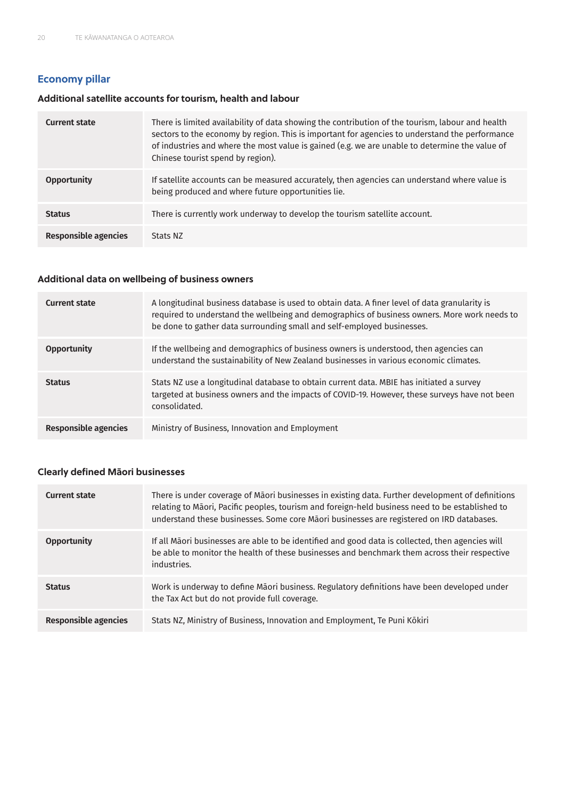## **Economy pillar**

#### **Additional satellite accounts for tourism, health and labour**

| <b>Current state</b> | There is limited availability of data showing the contribution of the tourism, labour and health<br>sectors to the economy by region. This is important for agencies to understand the performance<br>of industries and where the most value is gained (e.g. we are unable to determine the value of<br>Chinese tourist spend by region). |
|----------------------|-------------------------------------------------------------------------------------------------------------------------------------------------------------------------------------------------------------------------------------------------------------------------------------------------------------------------------------------|
| <b>Opportunity</b>   | If satellite accounts can be measured accurately, then agencies can understand where value is<br>being produced and where future opportunities lie.                                                                                                                                                                                       |
| <b>Status</b>        | There is currently work underway to develop the tourism satellite account.                                                                                                                                                                                                                                                                |
| Responsible agencies | Stats N7                                                                                                                                                                                                                                                                                                                                  |

## **Additional data on wellbeing of business owners**

| <b>Current state</b> | A longitudinal business database is used to obtain data. A finer level of data granularity is<br>required to understand the wellbeing and demographics of business owners. More work needs to<br>be done to gather data surrounding small and self-employed businesses. |
|----------------------|-------------------------------------------------------------------------------------------------------------------------------------------------------------------------------------------------------------------------------------------------------------------------|
| <b>Opportunity</b>   | If the wellbeing and demographics of business owners is understood, then agencies can<br>understand the sustainability of New Zealand businesses in various economic climates.                                                                                          |
| <b>Status</b>        | Stats NZ use a longitudinal database to obtain current data. MBIE has initiated a survey<br>targeted at business owners and the impacts of COVID-19. However, these surveys have not been<br>consolidated.                                                              |
| Responsible agencies | Ministry of Business, Innovation and Employment                                                                                                                                                                                                                         |

#### **Clearly defined Māori businesses**

| <b>Current state</b>        | There is under coverage of Māori businesses in existing data. Further development of definitions<br>relating to Māori, Pacific peoples, tourism and foreign-held business need to be established to<br>understand these businesses. Some core Maori businesses are registered on IRD databases. |
|-----------------------------|-------------------------------------------------------------------------------------------------------------------------------------------------------------------------------------------------------------------------------------------------------------------------------------------------|
| <b>Opportunity</b>          | If all Māori businesses are able to be identified and good data is collected, then agencies will<br>be able to monitor the health of these businesses and benchmark them across their respective<br>industries.                                                                                 |
| <b>Status</b>               | Work is underway to define Māori business. Regulatory definitions have been developed under<br>the Tax Act but do not provide full coverage.                                                                                                                                                    |
| <b>Responsible agencies</b> | Stats NZ, Ministry of Business, Innovation and Employment, Te Puni Kōkiri                                                                                                                                                                                                                       |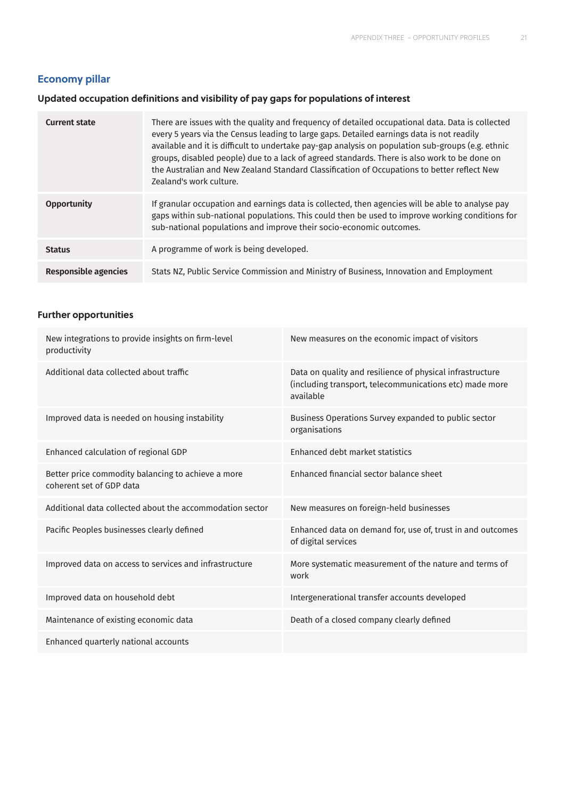21

## **Economy pillar**

## **Updated occupation definitions and visibility of pay gaps for populations of interest**

| <b>Current state</b> | There are issues with the quality and frequency of detailed occupational data. Data is collected<br>every 5 years via the Census leading to large gaps. Detailed earnings data is not readily<br>available and it is difficult to undertake pay-gap analysis on population sub-groups (e.g. ethnic<br>groups, disabled people) due to a lack of agreed standards. There is also work to be done on<br>the Australian and New Zealand Standard Classification of Occupations to better reflect New<br>Zealand's work culture. |
|----------------------|------------------------------------------------------------------------------------------------------------------------------------------------------------------------------------------------------------------------------------------------------------------------------------------------------------------------------------------------------------------------------------------------------------------------------------------------------------------------------------------------------------------------------|
| <b>Opportunity</b>   | If granular occupation and earnings data is collected, then agencies will be able to analyse pay<br>gaps within sub-national populations. This could then be used to improve working conditions for<br>sub-national populations and improve their socio-economic outcomes.                                                                                                                                                                                                                                                   |
| <b>Status</b>        | A programme of work is being developed.                                                                                                                                                                                                                                                                                                                                                                                                                                                                                      |
| Responsible agencies | Stats NZ, Public Service Commission and Ministry of Business, Innovation and Employment                                                                                                                                                                                                                                                                                                                                                                                                                                      |

#### **Further opportunities**

| New integrations to provide insights on firm-level<br>productivity             | New measures on the economic impact of visitors                                                                                   |
|--------------------------------------------------------------------------------|-----------------------------------------------------------------------------------------------------------------------------------|
| Additional data collected about traffic                                        | Data on quality and resilience of physical infrastructure<br>(including transport, telecommunications etc) made more<br>available |
| Improved data is needed on housing instability                                 | Business Operations Survey expanded to public sector<br>organisations                                                             |
| Enhanced calculation of regional GDP                                           | Enhanced debt market statistics                                                                                                   |
| Better price commodity balancing to achieve a more<br>coherent set of GDP data | Enhanced financial sector balance sheet                                                                                           |
| Additional data collected about the accommodation sector                       | New measures on foreign-held businesses                                                                                           |
| Pacific Peoples businesses clearly defined                                     | Enhanced data on demand for, use of, trust in and outcomes<br>of digital services                                                 |
| Improved data on access to services and infrastructure                         | More systematic measurement of the nature and terms of<br>work                                                                    |
| Improved data on household debt                                                | Intergenerational transfer accounts developed                                                                                     |
| Maintenance of existing economic data                                          | Death of a closed company clearly defined                                                                                         |
| Enhanced quarterly national accounts                                           |                                                                                                                                   |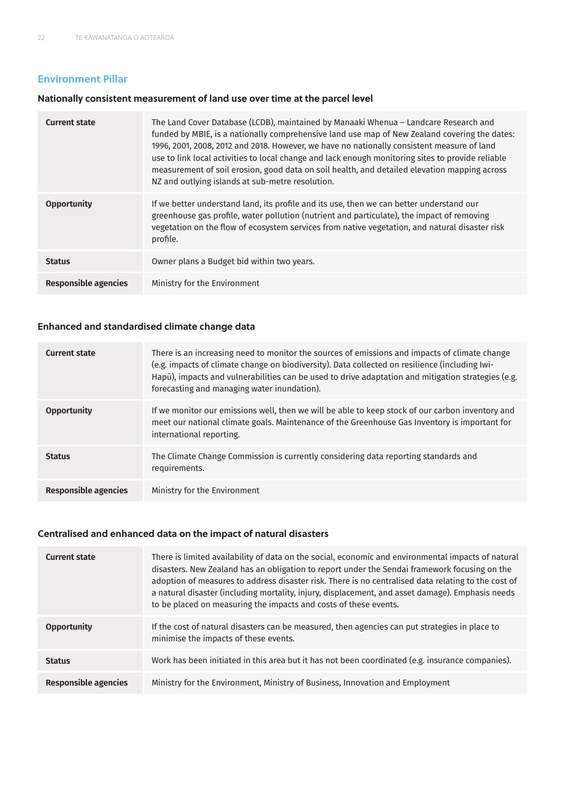## **Environment Pillar**

#### **Nationally consistent measurement of land use over time at the parcel level**

| <b>Current state</b> | The Land Cover Database (LCDB), maintained by Manaaki Whenua - Landcare Research and<br>funded by MBIE, is a nationally comprehensive land use map of New Zealand covering the dates:<br>1996, 2001, 2008, 2012 and 2018. However, we have no nationally consistent measure of land<br>use to link local activities to local change and lack enough monitoring sites to provide reliable<br>measurement of soil erosion, good data on soil health, and detailed elevation mapping across<br>NZ and outlying islands at sub-metre resolution. |
|----------------------|----------------------------------------------------------------------------------------------------------------------------------------------------------------------------------------------------------------------------------------------------------------------------------------------------------------------------------------------------------------------------------------------------------------------------------------------------------------------------------------------------------------------------------------------|
| <b>Opportunity</b>   | If we better understand land, its profile and its use, then we can better understand our<br>greenhouse gas profile, water pollution (nutrient and particulate), the impact of removing<br>vegetation on the flow of ecosystem services from native vegetation, and natural disaster risk<br>profile.                                                                                                                                                                                                                                         |
| <b>Status</b>        | Owner plans a Budget bid within two years.                                                                                                                                                                                                                                                                                                                                                                                                                                                                                                   |
| Responsible agencies | Ministry for the Environment                                                                                                                                                                                                                                                                                                                                                                                                                                                                                                                 |

## **Enhanced and standardised climate change data**

| <b>Current state</b>        | There is an increasing need to monitor the sources of emissions and impacts of climate change<br>(e.g. impacts of climate change on biodiversity). Data collected on resilience (including Iwi-<br>Hapū), impacts and vulnerabilities can be used to drive adaptation and mitigation strategies (e.g.<br>forecasting and managing water inundation). |
|-----------------------------|------------------------------------------------------------------------------------------------------------------------------------------------------------------------------------------------------------------------------------------------------------------------------------------------------------------------------------------------------|
| <b>Opportunity</b>          | If we monitor our emissions well, then we will be able to keep stock of our carbon inventory and<br>meet our national climate goals. Maintenance of the Greenhouse Gas Inventory is important for<br>international reporting.                                                                                                                        |
| <b>Status</b>               | The Climate Change Commission is currently considering data reporting standards and<br>requirements.                                                                                                                                                                                                                                                 |
| <b>Responsible agencies</b> | Ministry for the Environment                                                                                                                                                                                                                                                                                                                         |

#### **Centralised and enhanced data on the impact of natural disasters**

| <b>Current state</b> | There is limited availability of data on the social, economic and environmental impacts of natural<br>disasters. New Zealand has an obligation to report under the Sendai framework focusing on the<br>adoption of measures to address disaster risk. There is no centralised data relating to the cost of<br>a natural disaster (including mortality, injury, displacement, and asset damage). Emphasis needs<br>to be placed on measuring the impacts and costs of these events. |
|----------------------|------------------------------------------------------------------------------------------------------------------------------------------------------------------------------------------------------------------------------------------------------------------------------------------------------------------------------------------------------------------------------------------------------------------------------------------------------------------------------------|
| <b>Opportunity</b>   | If the cost of natural disasters can be measured, then agencies can put strategies in place to<br>minimise the impacts of these events.                                                                                                                                                                                                                                                                                                                                            |
| <b>Status</b>        | Work has been initiated in this area but it has not been coordinated (e.g. insurance companies).                                                                                                                                                                                                                                                                                                                                                                                   |
| Responsible agencies | Ministry for the Environment, Ministry of Business, Innovation and Employment                                                                                                                                                                                                                                                                                                                                                                                                      |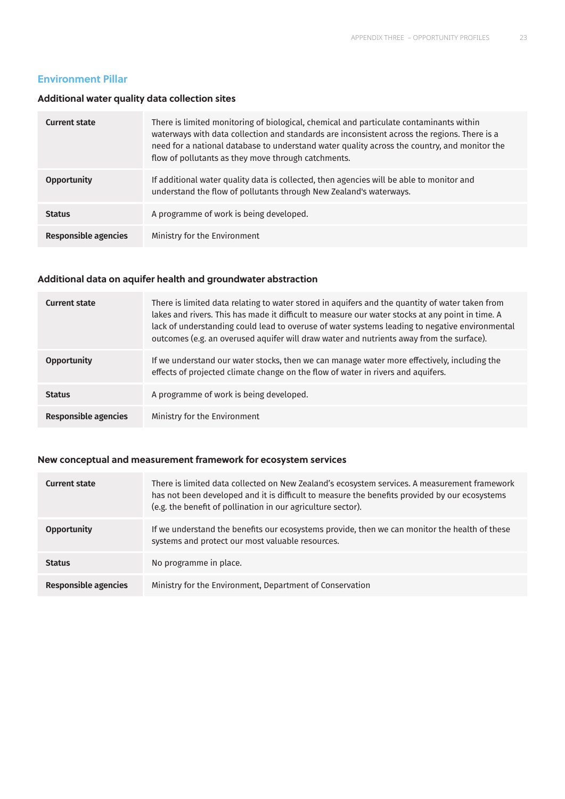#### **Environment Pillar**

#### **Additional water quality data collection sites**

| <b>Current state</b> | There is limited monitoring of biological, chemical and particulate contaminants within<br>waterways with data collection and standards are inconsistent across the regions. There is a<br>need for a national database to understand water quality across the country, and monitor the<br>flow of pollutants as they move through catchments. |
|----------------------|------------------------------------------------------------------------------------------------------------------------------------------------------------------------------------------------------------------------------------------------------------------------------------------------------------------------------------------------|
| <b>Opportunity</b>   | If additional water quality data is collected, then agencies will be able to monitor and<br>understand the flow of pollutants through New Zealand's waterways.                                                                                                                                                                                 |
| <b>Status</b>        | A programme of work is being developed.                                                                                                                                                                                                                                                                                                        |
| Responsible agencies | Ministry for the Environment                                                                                                                                                                                                                                                                                                                   |

## **Additional data on aquifer health and groundwater abstraction**

| <b>Current state</b> | There is limited data relating to water stored in aquifers and the quantity of water taken from<br>lakes and rivers. This has made it difficult to measure our water stocks at any point in time. A<br>lack of understanding could lead to overuse of water systems leading to negative environmental<br>outcomes (e.g. an overused aquifer will draw water and nutrients away from the surface). |
|----------------------|---------------------------------------------------------------------------------------------------------------------------------------------------------------------------------------------------------------------------------------------------------------------------------------------------------------------------------------------------------------------------------------------------|
| <b>Opportunity</b>   | If we understand our water stocks, then we can manage water more effectively, including the<br>effects of projected climate change on the flow of water in rivers and aquifers.                                                                                                                                                                                                                   |
| <b>Status</b>        | A programme of work is being developed.                                                                                                                                                                                                                                                                                                                                                           |
| Responsible agencies | Ministry for the Environment                                                                                                                                                                                                                                                                                                                                                                      |

## **New conceptual and measurement framework for ecosystem services**

| <b>Current state</b>        | There is limited data collected on New Zealand's ecosystem services. A measurement framework<br>has not been developed and it is difficult to measure the benefits provided by our ecosystems<br>(e.g. the benefit of pollination in our agriculture sector). |
|-----------------------------|---------------------------------------------------------------------------------------------------------------------------------------------------------------------------------------------------------------------------------------------------------------|
| <b>Opportunity</b>          | If we understand the benefits our ecosystems provide, then we can monitor the health of these<br>systems and protect our most valuable resources.                                                                                                             |
| <b>Status</b>               | No programme in place.                                                                                                                                                                                                                                        |
| <b>Responsible agencies</b> | Ministry for the Environment, Department of Conservation                                                                                                                                                                                                      |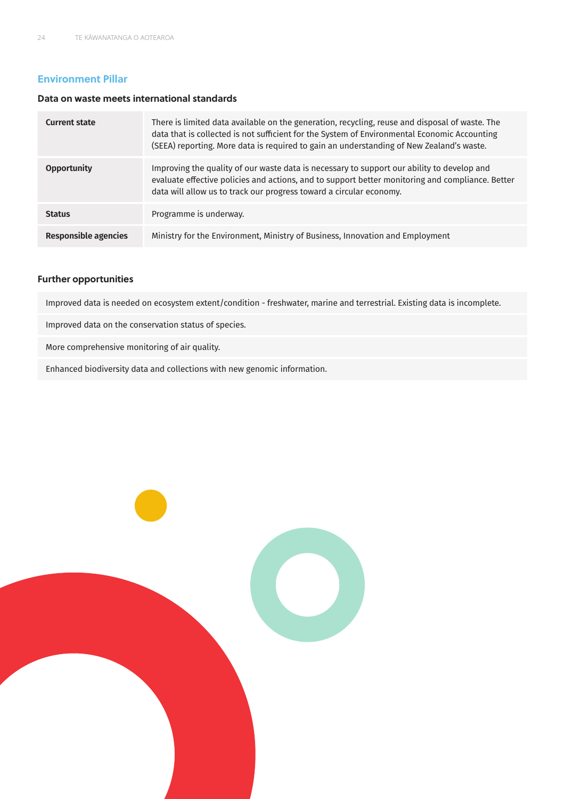#### **Environment Pillar**

#### **Data on waste meets international standards**

| <b>Current state</b> | There is limited data available on the generation, recycling, reuse and disposal of waste. The<br>data that is collected is not sufficient for the System of Environmental Economic Accounting<br>(SEEA) reporting. More data is required to gain an understanding of New Zealand's waste. |
|----------------------|--------------------------------------------------------------------------------------------------------------------------------------------------------------------------------------------------------------------------------------------------------------------------------------------|
| <b>Opportunity</b>   | Improving the quality of our waste data is necessary to support our ability to develop and<br>evaluate effective policies and actions, and to support better monitoring and compliance. Better<br>data will allow us to track our progress toward a circular economy.                      |
| <b>Status</b>        | Programme is underway.                                                                                                                                                                                                                                                                     |
| Responsible agencies | Ministry for the Environment, Ministry of Business, Innovation and Employment                                                                                                                                                                                                              |

#### **Further opportunities**

Improved data is needed on ecosystem extent/condition - freshwater, marine and terrestrial. Existing data is incomplete.

Improved data on the conservation status of species.

More comprehensive monitoring of air quality.

Enhanced biodiversity data and collections with new genomic information.

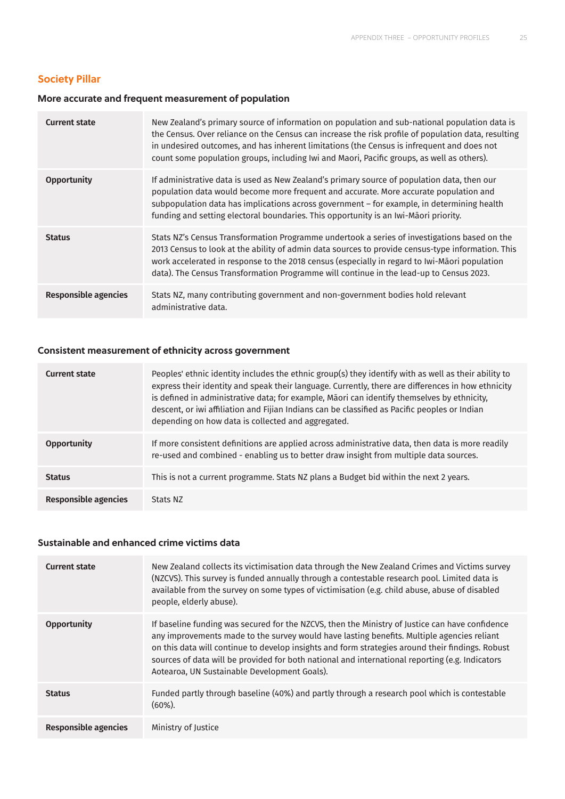## **Society Pillar**

#### **More accurate and frequent measurement of population**

| <b>Current state</b> | New Zealand's primary source of information on population and sub-national population data is<br>the Census. Over reliance on the Census can increase the risk profile of population data, resulting<br>in undesired outcomes, and has inherent limitations (the Census is infrequent and does not<br>count some population groups, including Iwi and Maori, Pacific groups, as well as others). |
|----------------------|--------------------------------------------------------------------------------------------------------------------------------------------------------------------------------------------------------------------------------------------------------------------------------------------------------------------------------------------------------------------------------------------------|
| <b>Opportunity</b>   | If administrative data is used as New Zealand's primary source of population data, then our<br>population data would become more frequent and accurate. More accurate population and<br>subpopulation data has implications across government - for example, in determining health<br>funding and setting electoral boundaries. This opportunity is an Iwi-Māori priority.                       |
| <b>Status</b>        | Stats NZ's Census Transformation Programme undertook a series of investigations based on the<br>2013 Census to look at the ability of admin data sources to provide census-type information. This<br>work accelerated in response to the 2018 census (especially in regard to Iwi-Māori population<br>data). The Census Transformation Programme will continue in the lead-up to Census 2023.    |
| Responsible agencies | Stats NZ, many contributing government and non-government bodies hold relevant<br>administrative data.                                                                                                                                                                                                                                                                                           |

#### **Consistent measurement of ethnicity across government**

| <b>Current state</b> | Peoples' ethnic identity includes the ethnic group(s) they identify with as well as their ability to<br>express their identity and speak their language. Currently, there are differences in how ethnicity<br>is defined in administrative data; for example, Māori can identify themselves by ethnicity,<br>descent, or iwi affiliation and Fijian Indians can be classified as Pacific peoples or Indian<br>depending on how data is collected and aggregated. |
|----------------------|------------------------------------------------------------------------------------------------------------------------------------------------------------------------------------------------------------------------------------------------------------------------------------------------------------------------------------------------------------------------------------------------------------------------------------------------------------------|
| <b>Opportunity</b>   | If more consistent definitions are applied across administrative data, then data is more readily<br>re-used and combined - enabling us to better draw insight from multiple data sources.                                                                                                                                                                                                                                                                        |
| <b>Status</b>        | This is not a current programme. Stats NZ plans a Budget bid within the next 2 years.                                                                                                                                                                                                                                                                                                                                                                            |
| Responsible agencies | Stats N <sub>7</sub>                                                                                                                                                                                                                                                                                                                                                                                                                                             |

#### **Sustainable and enhanced crime victims data**

| <b>Current state</b> | New Zealand collects its victimisation data through the New Zealand Crimes and Victims survey<br>(NZCVS). This survey is funded annually through a contestable research pool. Limited data is<br>available from the survey on some types of victimisation (e.g. child abuse, abuse of disabled<br>people, elderly abuse).                                                                                                                            |
|----------------------|------------------------------------------------------------------------------------------------------------------------------------------------------------------------------------------------------------------------------------------------------------------------------------------------------------------------------------------------------------------------------------------------------------------------------------------------------|
| <b>Opportunity</b>   | If baseline funding was secured for the NZCVS, then the Ministry of Justice can have confidence<br>any improvements made to the survey would have lasting benefits. Multiple agencies reliant<br>on this data will continue to develop insights and form strategies around their findings. Robust<br>sources of data will be provided for both national and international reporting (e.g. Indicators<br>Aotearoa, UN Sustainable Development Goals). |
| <b>Status</b>        | Funded partly through baseline (40%) and partly through a research pool which is contestable<br>$(60\%)$ .                                                                                                                                                                                                                                                                                                                                           |
| Responsible agencies | Ministry of Justice                                                                                                                                                                                                                                                                                                                                                                                                                                  |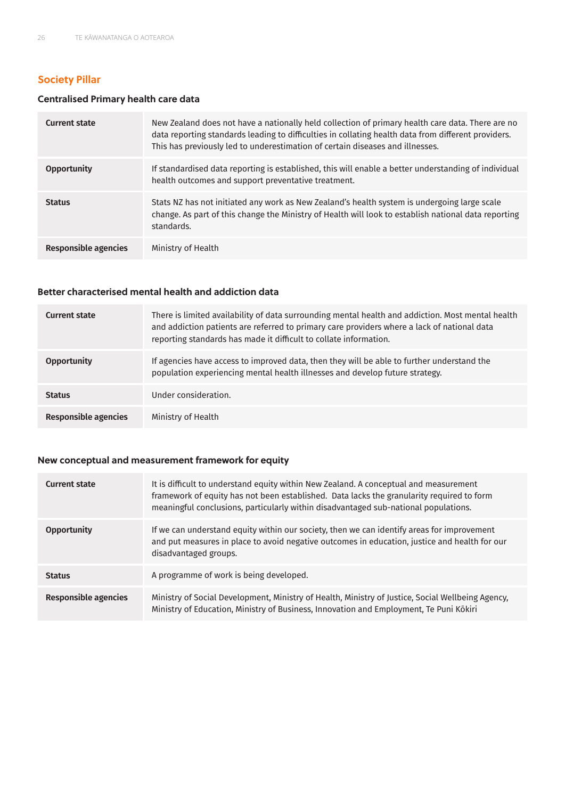## **Society Pillar**

#### **Centralised Primary health care data**

| <b>Current state</b> | New Zealand does not have a nationally held collection of primary health care data. There are no<br>data reporting standards leading to difficulties in collating health data from different providers.<br>This has previously led to underestimation of certain diseases and illnesses. |
|----------------------|------------------------------------------------------------------------------------------------------------------------------------------------------------------------------------------------------------------------------------------------------------------------------------------|
| <b>Opportunity</b>   | If standardised data reporting is established, this will enable a better understanding of individual<br>health outcomes and support preventative treatment.                                                                                                                              |
| <b>Status</b>        | Stats NZ has not initiated any work as New Zealand's health system is undergoing large scale<br>change. As part of this change the Ministry of Health will look to establish national data reporting<br>standards.                                                                       |
| Responsible agencies | Ministry of Health                                                                                                                                                                                                                                                                       |

#### **Better characterised mental health and addiction data**

| <b>Current state</b> | There is limited availability of data surrounding mental health and addiction. Most mental health<br>and addiction patients are referred to primary care providers where a lack of national data<br>reporting standards has made it difficult to collate information. |
|----------------------|-----------------------------------------------------------------------------------------------------------------------------------------------------------------------------------------------------------------------------------------------------------------------|
| <b>Opportunity</b>   | If agencies have access to improved data, then they will be able to further understand the<br>population experiencing mental health illnesses and develop future strategy.                                                                                            |
| <b>Status</b>        | Under consideration.                                                                                                                                                                                                                                                  |
| Responsible agencies | Ministry of Health                                                                                                                                                                                                                                                    |

#### **New conceptual and measurement framework for equity**

| <b>Current state</b> | It is difficult to understand equity within New Zealand. A conceptual and measurement<br>framework of equity has not been established. Data lacks the granularity required to form<br>meaningful conclusions, particularly within disadvantaged sub-national populations. |
|----------------------|---------------------------------------------------------------------------------------------------------------------------------------------------------------------------------------------------------------------------------------------------------------------------|
| <b>Opportunity</b>   | If we can understand equity within our society, then we can identify areas for improvement<br>and put measures in place to avoid negative outcomes in education, justice and health for our<br>disadvantaged groups.                                                      |
| <b>Status</b>        | A programme of work is being developed.                                                                                                                                                                                                                                   |
| Responsible agencies | Ministry of Social Development, Ministry of Health, Ministry of Justice, Social Wellbeing Agency,<br>Ministry of Education, Ministry of Business, Innovation and Employment, Te Puni Kökiri                                                                               |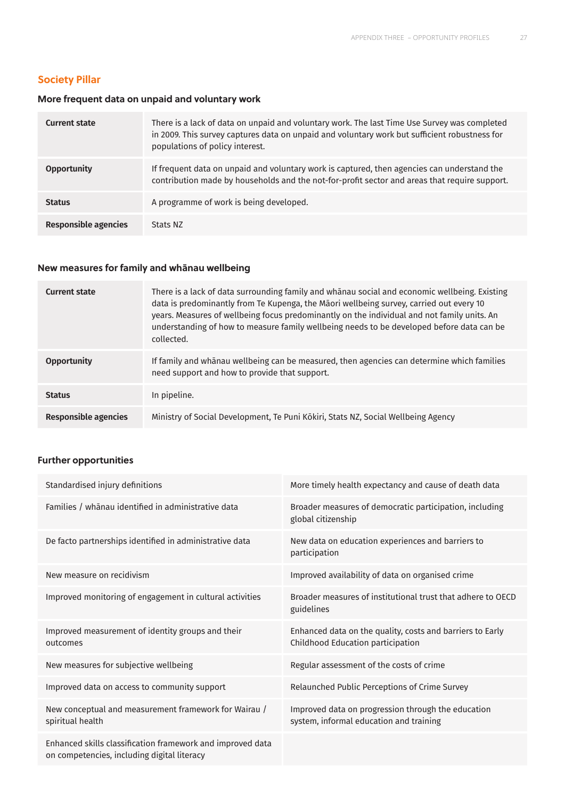## **Society Pillar**

#### **More frequent data on unpaid and voluntary work**

| <b>Current state</b> | There is a lack of data on unpaid and voluntary work. The last Time Use Survey was completed<br>in 2009. This survey captures data on unpaid and voluntary work but sufficient robustness for<br>populations of policy interest. |
|----------------------|----------------------------------------------------------------------------------------------------------------------------------------------------------------------------------------------------------------------------------|
| <b>Opportunity</b>   | If frequent data on unpaid and voluntary work is captured, then agencies can understand the<br>contribution made by households and the not-for-profit sector and areas that require support.                                     |
| <b>Status</b>        | A programme of work is being developed.                                                                                                                                                                                          |
| Responsible agencies | Stats N <sub>7</sub>                                                                                                                                                                                                             |

## **New measures for family and whānau wellbeing**

| <b>Current state</b> | There is a lack of data surrounding family and whanau social and economic wellbeing. Existing<br>data is predominantly from Te Kupenga, the Māori wellbeing survey, carried out every 10<br>years. Measures of wellbeing focus predominantly on the individual and not family units. An<br>understanding of how to measure family wellbeing needs to be developed before data can be<br>collected. |
|----------------------|----------------------------------------------------------------------------------------------------------------------------------------------------------------------------------------------------------------------------------------------------------------------------------------------------------------------------------------------------------------------------------------------------|
| <b>Opportunity</b>   | If family and whanau wellbeing can be measured, then agencies can determine which families<br>need support and how to provide that support.                                                                                                                                                                                                                                                        |
| <b>Status</b>        | In pipeline.                                                                                                                                                                                                                                                                                                                                                                                       |
| Responsible agencies | Ministry of Social Development, Te Puni Kōkiri, Stats NZ, Social Wellbeing Agency                                                                                                                                                                                                                                                                                                                  |

#### **Further opportunities**

| Standardised injury definitions                                                                           | More timely health expectancy and cause of death data                                          |
|-----------------------------------------------------------------------------------------------------------|------------------------------------------------------------------------------------------------|
| Families / whānau identified in administrative data                                                       | Broader measures of democratic participation, including<br>global citizenship                  |
| De facto partnerships identified in administrative data                                                   | New data on education experiences and barriers to<br>participation                             |
| New measure on recidivism                                                                                 | Improved availability of data on organised crime                                               |
| Improved monitoring of engagement in cultural activities                                                  | Broader measures of institutional trust that adhere to OECD<br>guidelines                      |
| Improved measurement of identity groups and their<br>outcomes                                             | Enhanced data on the quality, costs and barriers to Early<br>Childhood Education participation |
| New measures for subjective wellbeing                                                                     | Regular assessment of the costs of crime                                                       |
| Improved data on access to community support                                                              | Relaunched Public Perceptions of Crime Survey                                                  |
| New conceptual and measurement framework for Wairau /<br>spiritual health                                 | Improved data on progression through the education<br>system, informal education and training  |
| Enhanced skills classification framework and improved data<br>on competencies, including digital literacy |                                                                                                |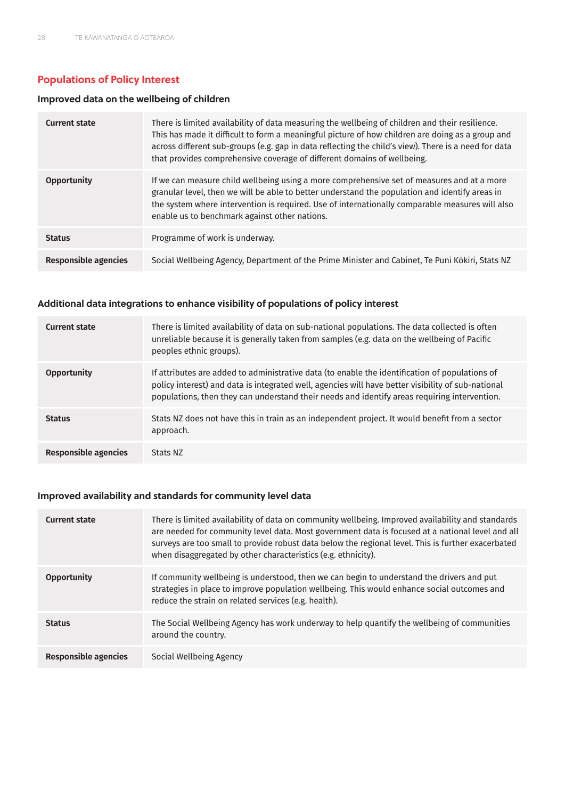## **Populations of Policy Interest**

#### **Improved data on the wellbeing of children**

| <b>Current state</b> | There is limited availability of data measuring the wellbeing of children and their resilience.<br>This has made it difficult to form a meaningful picture of how children are doing as a group and<br>across different sub-groups (e.g. gap in data reflecting the child's view). There is a need for data<br>that provides comprehensive coverage of different domains of wellbeing. |
|----------------------|----------------------------------------------------------------------------------------------------------------------------------------------------------------------------------------------------------------------------------------------------------------------------------------------------------------------------------------------------------------------------------------|
| <b>Opportunity</b>   | If we can measure child wellbeing using a more comprehensive set of measures and at a more<br>granular level, then we will be able to better understand the population and identify areas in<br>the system where intervention is required. Use of internationally comparable measures will also<br>enable us to benchmark against other nations.                                       |
| <b>Status</b>        | Programme of work is underway.                                                                                                                                                                                                                                                                                                                                                         |
| Responsible agencies | Social Wellbeing Agency, Department of the Prime Minister and Cabinet, Te Puni Kōkiri, Stats NZ                                                                                                                                                                                                                                                                                        |

#### **Additional data integrations to enhance visibility of populations of policy interest**

| <b>Current state</b> | There is limited availability of data on sub-national populations. The data collected is often<br>unreliable because it is generally taken from samples (e.g. data on the wellbeing of Pacific<br>peoples ethnic groups).                                                                            |
|----------------------|------------------------------------------------------------------------------------------------------------------------------------------------------------------------------------------------------------------------------------------------------------------------------------------------------|
| <b>Opportunity</b>   | If attributes are added to administrative data (to enable the identification of populations of<br>policy interest) and data is integrated well, agencies will have better visibility of sub-national<br>populations, then they can understand their needs and identify areas requiring intervention. |
| <b>Status</b>        | Stats NZ does not have this in train as an independent project. It would benefit from a sector<br>approach.                                                                                                                                                                                          |
| Responsible agencies | Stats N <sub>7</sub>                                                                                                                                                                                                                                                                                 |

#### **Improved availability and standards for community level data**

| <b>Current state</b> | There is limited availability of data on community wellbeing. Improved availability and standards<br>are needed for community level data. Most government data is focused at a national level and all<br>surveys are too small to provide robust data below the regional level. This is further exacerbated<br>when disaggregated by other characteristics (e.g. ethnicity). |
|----------------------|------------------------------------------------------------------------------------------------------------------------------------------------------------------------------------------------------------------------------------------------------------------------------------------------------------------------------------------------------------------------------|
| <b>Opportunity</b>   | If community wellbeing is understood, then we can begin to understand the drivers and put<br>strategies in place to improve population wellbeing. This would enhance social outcomes and<br>reduce the strain on related services (e.g. health).                                                                                                                             |
| <b>Status</b>        | The Social Wellbeing Agency has work underway to help quantify the wellbeing of communities<br>around the country.                                                                                                                                                                                                                                                           |
| Responsible agencies | Social Wellbeing Agency                                                                                                                                                                                                                                                                                                                                                      |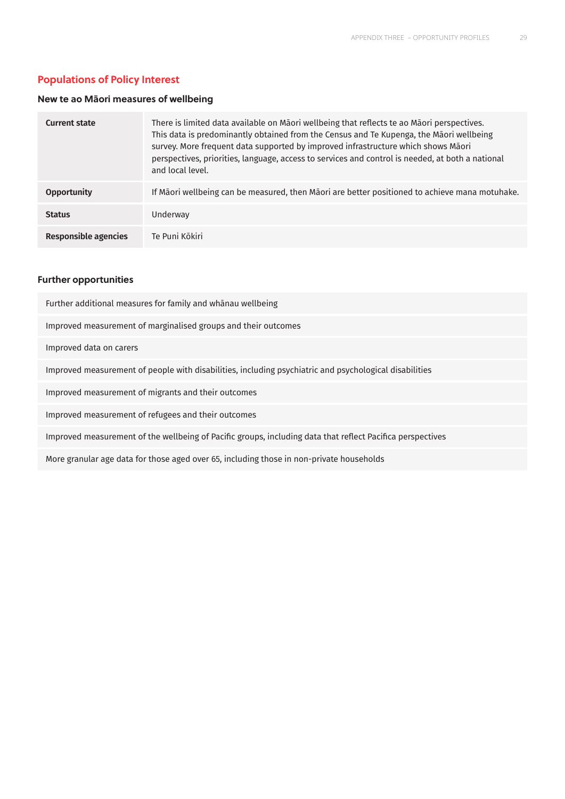#### **Populations of Policy Interest**

#### **New te ao Māori measures of wellbeing**

| <b>Current state</b>        | There is limited data available on Māori wellbeing that reflects te ao Māori perspectives.<br>This data is predominantly obtained from the Census and Te Kupenga, the Māori wellbeing<br>survey. More frequent data supported by improved infrastructure which shows Māori<br>perspectives, priorities, language, access to services and control is needed, at both a national<br>and local level. |
|-----------------------------|----------------------------------------------------------------------------------------------------------------------------------------------------------------------------------------------------------------------------------------------------------------------------------------------------------------------------------------------------------------------------------------------------|
| <b>Opportunity</b>          | If Maori wellbeing can be measured, then Maori are better positioned to achieve mana motuhake.                                                                                                                                                                                                                                                                                                     |
| <b>Status</b>               | Underway                                                                                                                                                                                                                                                                                                                                                                                           |
| <b>Responsible agencies</b> | Te Puni Kōkiri                                                                                                                                                                                                                                                                                                                                                                                     |

#### **Further opportunities**

Further additional measures for family and whānau wellbeing

Improved measurement of marginalised groups and their outcomes

Improved data on carers

Improved measurement of people with disabilities, including psychiatric and psychological disabilities

Improved measurement of migrants and their outcomes

Improved measurement of refugees and their outcomes

Improved measurement of the wellbeing of Pacific groups, including data that reflect Pacifica perspectives

More granular age data for those aged over 65, including those in non-private households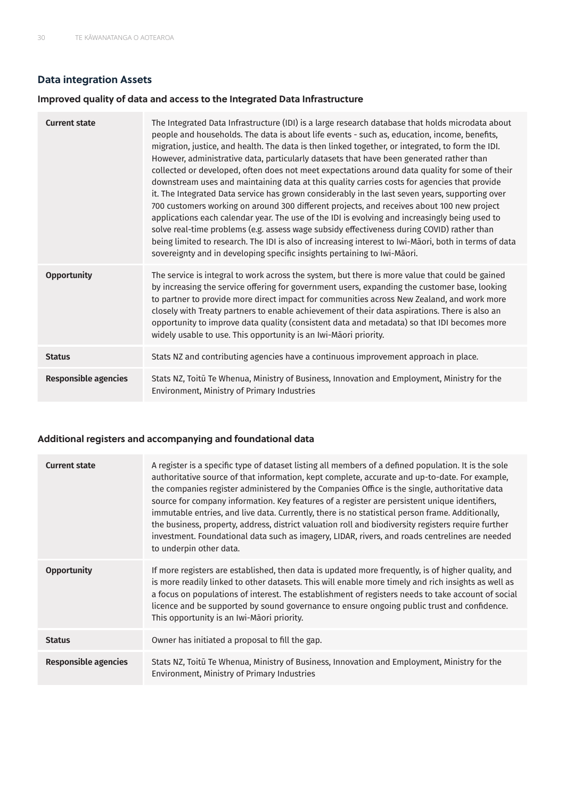## **Data integration Assets**

#### **Improved quality of data and access to the Integrated Data Infrastructure**

| <b>Current state</b>        | The Integrated Data Infrastructure (IDI) is a large research database that holds microdata about<br>people and households. The data is about life events - such as, education, income, benefits,<br>migration, justice, and health. The data is then linked together, or integrated, to form the IDI.<br>However, administrative data, particularly datasets that have been generated rather than<br>collected or developed, often does not meet expectations around data quality for some of their<br>downstream uses and maintaining data at this quality carries costs for agencies that provide<br>it. The Integrated Data service has grown considerably in the last seven years, supporting over<br>700 customers working on around 300 different projects, and receives about 100 new project<br>applications each calendar year. The use of the IDI is evolving and increasingly being used to<br>solve real-time problems (e.g. assess wage subsidy effectiveness during COVID) rather than<br>being limited to research. The IDI is also of increasing interest to Iwi-Māori, both in terms of data<br>sovereignty and in developing specific insights pertaining to Iwi-Māori. |
|-----------------------------|-------------------------------------------------------------------------------------------------------------------------------------------------------------------------------------------------------------------------------------------------------------------------------------------------------------------------------------------------------------------------------------------------------------------------------------------------------------------------------------------------------------------------------------------------------------------------------------------------------------------------------------------------------------------------------------------------------------------------------------------------------------------------------------------------------------------------------------------------------------------------------------------------------------------------------------------------------------------------------------------------------------------------------------------------------------------------------------------------------------------------------------------------------------------------------------------|
| <b>Opportunity</b>          | The service is integral to work across the system, but there is more value that could be gained<br>by increasing the service offering for government users, expanding the customer base, looking<br>to partner to provide more direct impact for communities across New Zealand, and work more<br>closely with Treaty partners to enable achievement of their data aspirations. There is also an<br>opportunity to improve data quality (consistent data and metadata) so that IDI becomes more<br>widely usable to use. This opportunity is an Iwi-Māori priority.                                                                                                                                                                                                                                                                                                                                                                                                                                                                                                                                                                                                                       |
| <b>Status</b>               | Stats NZ and contributing agencies have a continuous improvement approach in place.                                                                                                                                                                                                                                                                                                                                                                                                                                                                                                                                                                                                                                                                                                                                                                                                                                                                                                                                                                                                                                                                                                       |
| <b>Responsible agencies</b> | Stats NZ, Toitū Te Whenua, Ministry of Business, Innovation and Employment, Ministry for the<br>Environment, Ministry of Primary Industries                                                                                                                                                                                                                                                                                                                                                                                                                                                                                                                                                                                                                                                                                                                                                                                                                                                                                                                                                                                                                                               |

#### **Additional registers and accompanying and foundational data**

| <b>Current state</b> | A register is a specific type of dataset listing all members of a defined population. It is the sole<br>authoritative source of that information, kept complete, accurate and up-to-date. For example,<br>the companies register administered by the Companies Office is the single, authoritative data<br>source for company information. Key features of a register are persistent unique identifiers,<br>immutable entries, and live data. Currently, there is no statistical person frame. Additionally,<br>the business, property, address, district valuation roll and biodiversity registers require further<br>investment. Foundational data such as imagery, LIDAR, rivers, and roads centrelines are needed<br>to underpin other data. |
|----------------------|--------------------------------------------------------------------------------------------------------------------------------------------------------------------------------------------------------------------------------------------------------------------------------------------------------------------------------------------------------------------------------------------------------------------------------------------------------------------------------------------------------------------------------------------------------------------------------------------------------------------------------------------------------------------------------------------------------------------------------------------------|
| <b>Opportunity</b>   | If more registers are established, then data is updated more frequently, is of higher quality, and<br>is more readily linked to other datasets. This will enable more timely and rich insights as well as<br>a focus on populations of interest. The establishment of registers needs to take account of social<br>licence and be supported by sound governance to ensure ongoing public trust and confidence.<br>This opportunity is an Iwi-Māori priority.                                                                                                                                                                                                                                                                                     |
| <b>Status</b>        | Owner has initiated a proposal to fill the gap.                                                                                                                                                                                                                                                                                                                                                                                                                                                                                                                                                                                                                                                                                                  |
| Responsible agencies | Stats NZ, Toitū Te Whenua, Ministry of Business, Innovation and Employment, Ministry for the<br>Environment, Ministry of Primary Industries                                                                                                                                                                                                                                                                                                                                                                                                                                                                                                                                                                                                      |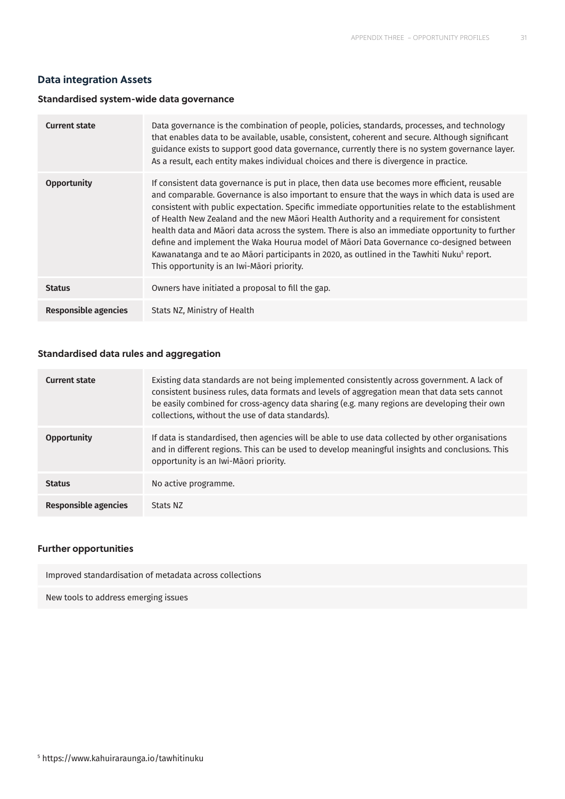#### **Data integration Assets**

#### **Standardised system-wide data governance**

| <b>Current state</b> | Data governance is the combination of people, policies, standards, processes, and technology<br>that enables data to be available, usable, consistent, coherent and secure. Although significant<br>guidance exists to support good data governance, currently there is no system governance layer.<br>As a result, each entity makes individual choices and there is divergence in practice.                                                                                                                                                                                                                                                                                                                                                          |
|----------------------|--------------------------------------------------------------------------------------------------------------------------------------------------------------------------------------------------------------------------------------------------------------------------------------------------------------------------------------------------------------------------------------------------------------------------------------------------------------------------------------------------------------------------------------------------------------------------------------------------------------------------------------------------------------------------------------------------------------------------------------------------------|
| <b>Opportunity</b>   | If consistent data governance is put in place, then data use becomes more efficient, reusable<br>and comparable. Governance is also important to ensure that the ways in which data is used are<br>consistent with public expectation. Specific immediate opportunities relate to the establishment<br>of Health New Zealand and the new Māori Health Authority and a requirement for consistent<br>health data and Māori data across the system. There is also an immediate opportunity to further<br>define and implement the Waka Hourua model of Māori Data Governance co-designed between<br>Kawanatanga and te ao Māori participants in 2020, as outlined in the Tawhiti Nuku <sup>5</sup> report.<br>This opportunity is an Iwi-Māori priority. |
| <b>Status</b>        | Owners have initiated a proposal to fill the gap.                                                                                                                                                                                                                                                                                                                                                                                                                                                                                                                                                                                                                                                                                                      |
| Responsible agencies | Stats NZ, Ministry of Health                                                                                                                                                                                                                                                                                                                                                                                                                                                                                                                                                                                                                                                                                                                           |

#### **Standardised data rules and aggregation**

| <b>Current state</b> | Existing data standards are not being implemented consistently across government. A lack of<br>consistent business rules, data formats and levels of aggregation mean that data sets cannot<br>be easily combined for cross-agency data sharing (e.g. many regions are developing their own<br>collections, without the use of data standards). |
|----------------------|-------------------------------------------------------------------------------------------------------------------------------------------------------------------------------------------------------------------------------------------------------------------------------------------------------------------------------------------------|
| <b>Opportunity</b>   | If data is standardised, then agencies will be able to use data collected by other organisations<br>and in different regions. This can be used to develop meaningful insights and conclusions. This<br>opportunity is an Iwi-Māori priority.                                                                                                    |
| <b>Status</b>        | No active programme.                                                                                                                                                                                                                                                                                                                            |
| Responsible agencies | Stats N <sub>7</sub>                                                                                                                                                                                                                                                                                                                            |

#### **Further opportunities**

Improved standardisation of metadata across collections

New tools to address emerging issues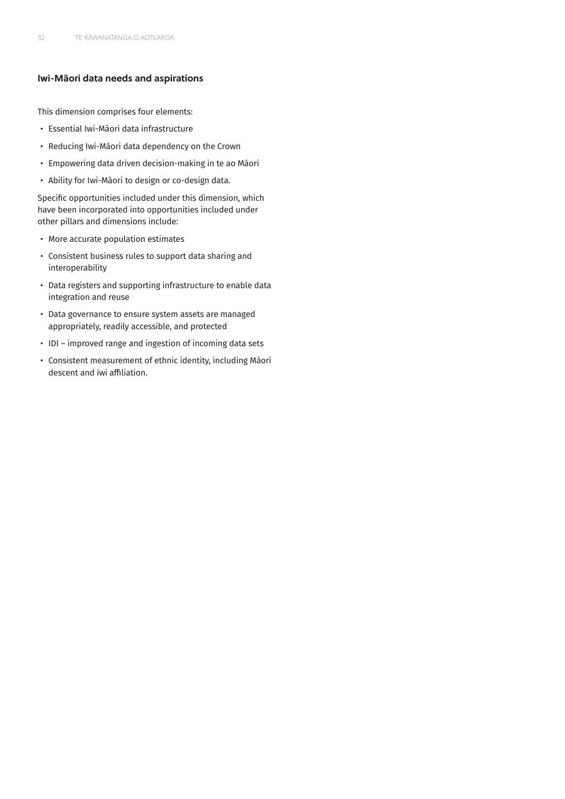#### **Iwi-Māori data needs and aspirations**

This dimension comprises four elements:

- Essential Iwi-Māori data infrastructure
- Reducing Iwi-Māori data dependency on the Crown
- Empowering data driven decision-making in te ao Māori
- Ability for Iwi-Māori to design or co-design data.

Specific opportunities included under this dimension, which have been incorporated into opportunities included under other pillars and dimensions include:

- More accurate population estimates
- Consistent business rules to support data sharing and interoperability
- Data registers and supporting infrastructure to enable data integration and reuse
- Data governance to ensure system assets are managed appropriately, readily accessible, and protected
- IDI improved range and ingestion of incoming data sets
- Consistent measurement of ethnic identity, including Māori descent and iwi affiliation.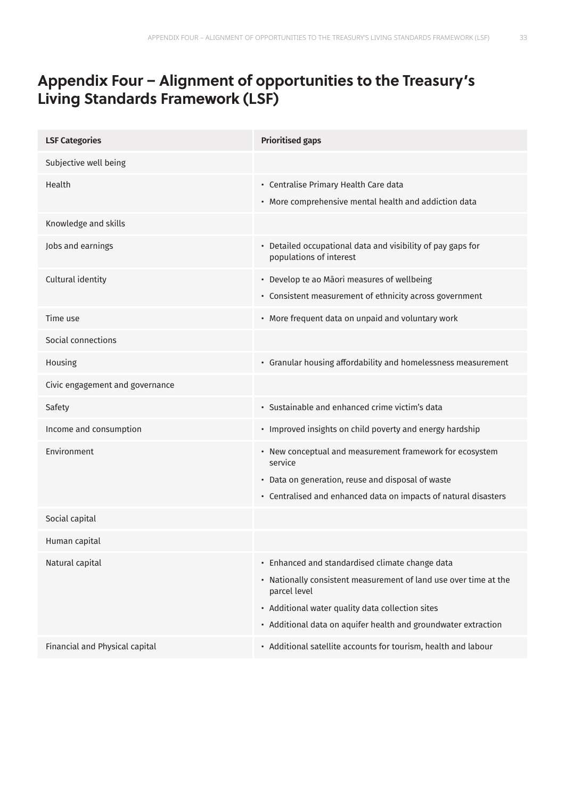# **Appendix Four – Alignment of opportunities to the Treasury's Living Standards Framework (LSF)**

| <b>LSF Categories</b>           | <b>Prioritised gaps</b>                                                                                                                                                                                                                                   |
|---------------------------------|-----------------------------------------------------------------------------------------------------------------------------------------------------------------------------------------------------------------------------------------------------------|
| Subjective well being           |                                                                                                                                                                                                                                                           |
| Health                          | • Centralise Primary Health Care data<br>• More comprehensive mental health and addiction data                                                                                                                                                            |
| Knowledge and skills            |                                                                                                                                                                                                                                                           |
| Jobs and earnings               | • Detailed occupational data and visibility of pay gaps for<br>populations of interest                                                                                                                                                                    |
| Cultural identity               | • Develop te ao Māori measures of wellbeing<br>• Consistent measurement of ethnicity across government                                                                                                                                                    |
| Time use                        | • More frequent data on unpaid and voluntary work                                                                                                                                                                                                         |
| Social connections              |                                                                                                                                                                                                                                                           |
| Housing                         | • Granular housing affordability and homelessness measurement                                                                                                                                                                                             |
| Civic engagement and governance |                                                                                                                                                                                                                                                           |
| Safety                          | · Sustainable and enhanced crime victim's data                                                                                                                                                                                                            |
| Income and consumption          | • Improved insights on child poverty and energy hardship                                                                                                                                                                                                  |
| Environment                     | • New conceptual and measurement framework for ecosystem<br>service<br>• Data on generation, reuse and disposal of waste<br>• Centralised and enhanced data on impacts of natural disasters                                                               |
| Social capital                  |                                                                                                                                                                                                                                                           |
| Human capital                   |                                                                                                                                                                                                                                                           |
| Natural capital                 | • Enhanced and standardised climate change data<br>• Nationally consistent measurement of land use over time at the<br>parcel level<br>• Additional water quality data collection sites<br>• Additional data on aquifer health and groundwater extraction |
| Financial and Physical capital  | • Additional satellite accounts for tourism, health and labour                                                                                                                                                                                            |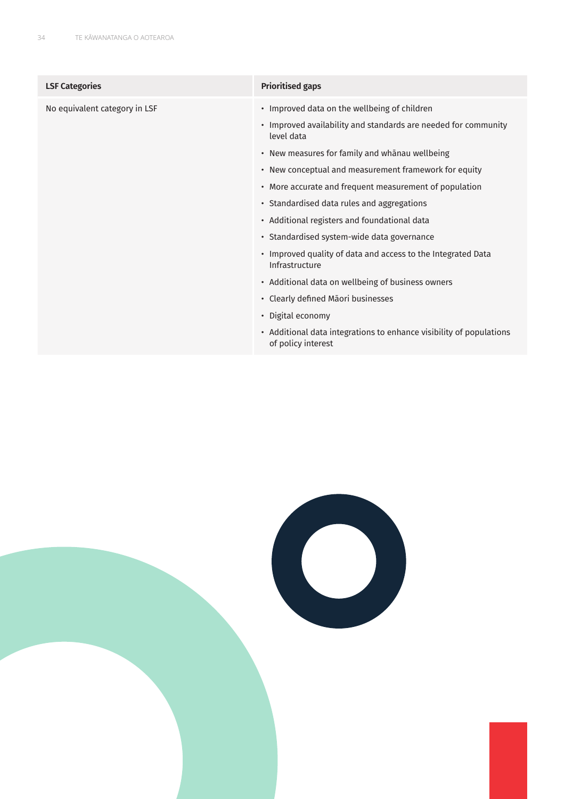| <b>LSF Categories</b>         | <b>Prioritised gaps</b>                                                                                                                                                                                                                                                                                                                                                                                                                                                                                                                                                                                                                         |
|-------------------------------|-------------------------------------------------------------------------------------------------------------------------------------------------------------------------------------------------------------------------------------------------------------------------------------------------------------------------------------------------------------------------------------------------------------------------------------------------------------------------------------------------------------------------------------------------------------------------------------------------------------------------------------------------|
| No equivalent category in LSF | • Improved data on the wellbeing of children<br>• Improved availability and standards are needed for community<br>level data<br>• New measures for family and whānau wellbeing<br>• New conceptual and measurement framework for equity<br>• More accurate and frequent measurement of population<br>• Standardised data rules and aggregations<br>• Additional registers and foundational data<br>• Standardised system-wide data governance<br>• Improved quality of data and access to the Integrated Data<br>Infrastructure<br>• Additional data on wellbeing of business owners<br>• Clearly defined Māori businesses<br>• Digital economy |
|                               | • Additional data integrations to enhance visibility of populations<br>of policy interest                                                                                                                                                                                                                                                                                                                                                                                                                                                                                                                                                       |
|                               |                                                                                                                                                                                                                                                                                                                                                                                                                                                                                                                                                                                                                                                 |

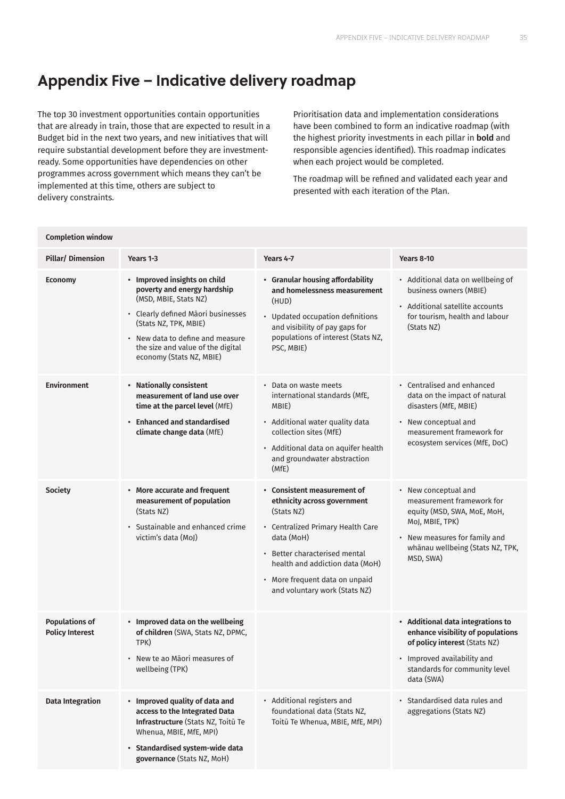# **Appendix Five – Indicative delivery roadmap**

The top 30 investment opportunities contain opportunities that are already in train, those that are expected to result in a Budget bid in the next two years, and new initiatives that will require substantial development before they are investmentready. Some opportunities have dependencies on other programmes across government which means they can't be implemented at this time, others are subject to delivery constraints.

Prioritisation data and implementation considerations have been combined to form an indicative roadmap (with the highest priority investments in each pillar in **bold** and responsible agencies identified). This roadmap indicates when each project would be completed.

The roadmap will be refined and validated each year and presented with each iteration of the Plan.

| <b>Completion window</b>                        |                                                                                                                                                                                                                                                          |                                                                                                                                                                                                                                                                          |                                                                                                                                                                                       |
|-------------------------------------------------|----------------------------------------------------------------------------------------------------------------------------------------------------------------------------------------------------------------------------------------------------------|--------------------------------------------------------------------------------------------------------------------------------------------------------------------------------------------------------------------------------------------------------------------------|---------------------------------------------------------------------------------------------------------------------------------------------------------------------------------------|
| <b>Pillar/Dimension</b>                         | Years 1-3                                                                                                                                                                                                                                                | Years 4-7                                                                                                                                                                                                                                                                | <b>Years 8-10</b>                                                                                                                                                                     |
| <b>Economy</b>                                  | • Improved insights on child<br>poverty and energy hardship<br>(MSD, MBIE, Stats NZ)<br>• Clearly defined Māori businesses<br>(Stats NZ, TPK, MBIE)<br>• New data to define and measure<br>the size and value of the digital<br>economy (Stats NZ, MBIE) | • Granular housing affordability<br>and homelessness measurement<br>(HUD)<br>• Updated occupation definitions<br>and visibility of pay gaps for<br>populations of interest (Stats NZ,<br>PSC, MBIE)                                                                      | • Additional data on wellbeing of<br>business owners (MBIE)<br>• Additional satellite accounts<br>for tourism, health and labour<br>(Stats NZ)                                        |
| <b>Environment</b>                              | • Nationally consistent<br>measurement of land use over<br>time at the parcel level (MfE)<br>• Enhanced and standardised<br>climate change data (MfE)                                                                                                    | • Data on waste meets<br>international standards (MfE,<br>MBIE)<br>• Additional water quality data<br>collection sites (MfE)<br>• Additional data on aquifer health<br>and groundwater abstraction<br>(MfE)                                                              | • Centralised and enhanced<br>data on the impact of natural<br>disasters (MfE, MBIE)<br>• New conceptual and<br>measurement framework for<br>ecosystem services (MfE, DoC)            |
| <b>Society</b>                                  | • More accurate and frequent<br>measurement of population<br>(Stats NZ)<br>• Sustainable and enhanced crime<br>victim's data (MoJ)                                                                                                                       | $\cdot$ Consistent measurement of<br>ethnicity across government<br>(Stats NZ)<br>• Centralized Primary Health Care<br>data (MoH)<br>• Better characterised mental<br>health and addiction data (MoH)<br>• More frequent data on unpaid<br>and voluntary work (Stats NZ) | • New conceptual and<br>measurement framework for<br>equity (MSD, SWA, MoE, MoH,<br>MoJ, MBIE, TPK)<br>• New measures for family and<br>whānau wellbeing (Stats NZ, TPK,<br>MSD, SWA) |
| <b>Populations of</b><br><b>Policy Interest</b> | • Improved data on the wellbeing<br>of children (SWA, Stats NZ, DPMC,<br>TPK)<br>$\cdot$ New te ao Māori measures of<br>wellbeing (TPK)                                                                                                                  |                                                                                                                                                                                                                                                                          | • Additional data integrations to<br>enhance visibility of populations<br>of policy interest (Stats NZ)<br>· Improved availability and<br>standards for community level<br>data (SWA) |
| <b>Data Integration</b>                         | • Improved quality of data and<br>access to the Integrated Data<br>Infrastructure (Stats NZ, Toitū Te<br>Whenua, MBIE, MfE, MPI)<br>· Standardised system-wide data<br>governance (Stats NZ, MoH)                                                        | • Additional registers and<br>foundational data (Stats NZ,<br>Toitū Te Whenua, MBIE, MfE, MPI)                                                                                                                                                                           | • Standardised data rules and<br>aggregations (Stats NZ)                                                                                                                              |